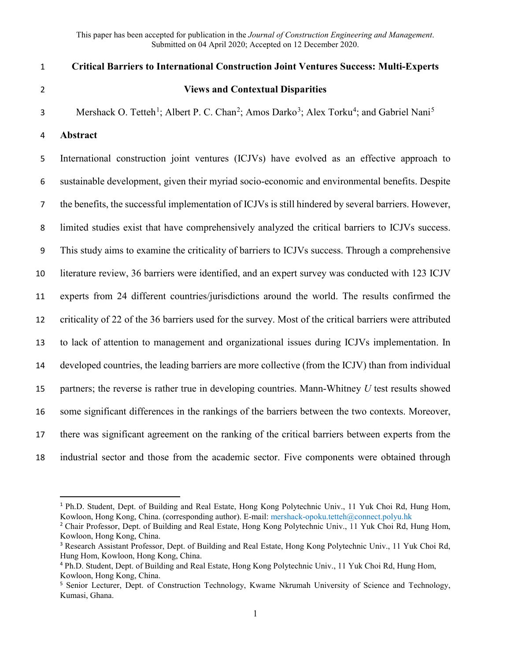https://dx.doi.org/10.1061/(ASCE)CO.1943-7862.0002059 **This is the Pre-Published Version.**

 $\overline{\phantom{a}}$ 

This paper has been accepted for publication in the *Journal of Construction Engineering and Management*. Submitted on 04 April 2020; Accepted on 12 December 2020.

| $\mathbf 1$    | <b>Critical Barriers to International Construction Joint Ventures Success: Multi-Experts</b>                                                         |
|----------------|------------------------------------------------------------------------------------------------------------------------------------------------------|
| $\overline{2}$ | <b>Views and Contextual Disparities</b>                                                                                                              |
| 3              | Mershack O. Tetteh <sup>1</sup> ; Albert P. C. Chan <sup>2</sup> ; Amos Darko <sup>3</sup> ; Alex Torku <sup>4</sup> ; and Gabriel Nani <sup>5</sup> |
| 4              | Abstract                                                                                                                                             |
| 5              | International construction joint ventures (ICJVs) have evolved as an effective approach to                                                           |
| 6              | sustainable development, given their myriad socio-economic and environmental benefits. Despite                                                       |
| $\overline{7}$ | the benefits, the successful implementation of ICJVs is still hindered by several barriers. However,                                                 |
| 8              | limited studies exist that have comprehensively analyzed the critical barriers to ICJVs success.                                                     |
| 9              | This study aims to examine the criticality of barriers to ICJVs success. Through a comprehensive                                                     |
| 10             | literature review, 36 barriers were identified, and an expert survey was conducted with 123 ICJV                                                     |
| 11             | experts from 24 different countries/jurisdictions around the world. The results confirmed the                                                        |
| 12             | criticality of 22 of the 36 barriers used for the survey. Most of the critical barriers were attributed                                              |
| 13             | to lack of attention to management and organizational issues during ICJVs implementation. In                                                         |
| 14             | developed countries, the leading barriers are more collective (from the ICJV) than from individual                                                   |
| 15             | partners; the reverse is rather true in developing countries. Mann-Whitney $U$ test results showed                                                   |
| 16             | some significant differences in the rankings of the barriers between the two contexts. Moreover,                                                     |
| 17             | there was significant agreement on the ranking of the critical barriers between experts from the                                                     |
| 18             | industrial sector and those from the academic sector. Five components were obtained through                                                          |

<span id="page-0-0"></span><sup>1</sup> Ph.D. Student, Dept. of Building and Real Estate, Hong Kong Polytechnic Univ., 11 Yuk Choi Rd, Hung Hom, Kowloon, Hong Kong, China. (corresponding author). E-mail: mershack-opoku.tetteh@connect.polyu.hk

<span id="page-0-1"></span><sup>2</sup> Chair Professor, Dept. of Building and Real Estate, Hong Kong Polytechnic Univ., 11 Yuk Choi Rd, Hung Hom, Kowloon, Hong Kong, China.

<span id="page-0-2"></span><sup>&</sup>lt;sup>3</sup> Research Assistant Professor, Dept. of Building and Real Estate, Hong Kong Polytechnic Univ., 11 Yuk Choi Rd, Hung Hom, Kowloon, Hong Kong, China.

<span id="page-0-3"></span><sup>4</sup> Ph.D. Student, Dept. of Building and Real Estate, Hong Kong Polytechnic Univ., 11 Yuk Choi Rd, Hung Hom, Kowloon, Hong Kong, China.

<span id="page-0-4"></span><sup>&</sup>lt;sup>5</sup> Senior Lecturer, Dept. of Construction Technology, Kwame Nkrumah University of Science and Technology, Kumasi, Ghana.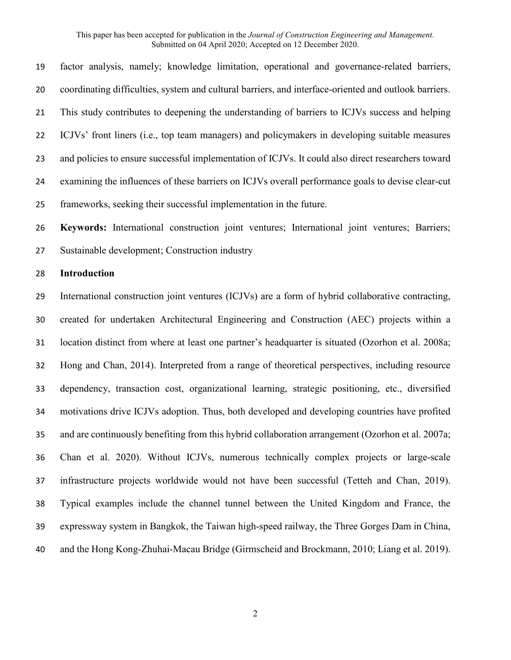factor analysis, namely; knowledge limitation, operational and governance-related barriers, coordinating difficulties, system and cultural barriers, and interface-oriented and outlook barriers. This study contributes to deepening the understanding of barriers to ICJVs success and helping ICJVs' front liners (i.e., top team managers) and policymakers in developing suitable measures and policies to ensure successful implementation of ICJVs. It could also direct researchers toward examining the influences of these barriers on ICJVs overall performance goals to devise clear-cut frameworks, seeking their successful implementation in the future.

 **Keywords:** International construction joint ventures; International joint ventures; Barriers; Sustainable development; Construction industry

## **Introduction**

 International construction joint ventures (ICJVs) are a form of hybrid collaborative contracting, created for undertaken Architectural Engineering and Construction (AEC) projects within a location distinct from where at least one partner's headquarter is situated (Ozorhon et al. 2008a; Hong and Chan, 2014). Interpreted from a range of theoretical perspectives, including resource dependency, transaction cost, organizational learning, strategic positioning, etc., diversified motivations drive ICJVs adoption. Thus, both developed and developing countries have profited and are continuously benefiting from this hybrid collaboration arrangement (Ozorhon et al. 2007a; Chan et al. 2020). Without ICJVs, numerous technically complex projects or large-scale infrastructure projects worldwide would not have been successful (Tetteh and Chan, 2019). Typical examples include the channel tunnel between the United Kingdom and France, the expressway system in Bangkok, the Taiwan high-speed railway, the Three Gorges Dam in China, and the Hong Kong-Zhuhai-Macau Bridge (Girmscheid and Brockmann, 2010; Liang et al. 2019).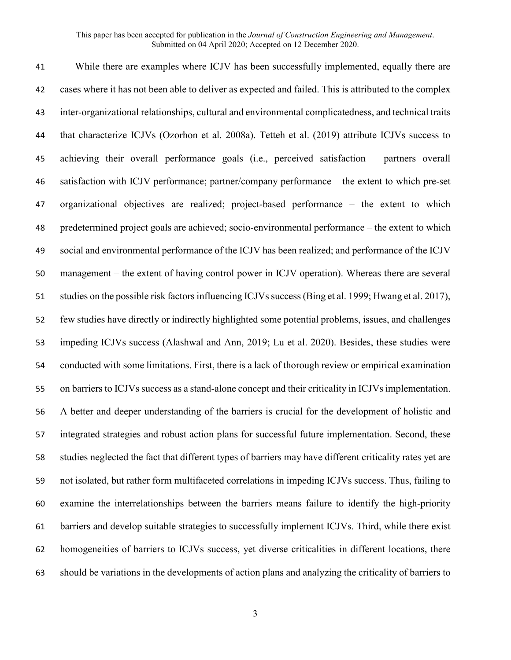While there are examples where ICJV has been successfully implemented, equally there are cases where it has not been able to deliver as expected and failed. This is attributed to the complex inter-organizational relationships, cultural and environmental complicatedness, and technical traits that characterize ICJVs (Ozorhon et al. 2008a). Tetteh et al. (2019) attribute ICJVs success to achieving their overall performance goals (i.e., perceived satisfaction – partners overall satisfaction with ICJV performance; partner/company performance – the extent to which pre-set organizational objectives are realized; project-based performance – the extent to which predetermined project goals are achieved; socio-environmental performance – the extent to which social and environmental performance of the ICJV has been realized; and performance of the ICJV management – the extent of having control power in ICJV operation). Whereas there are several studies on the possible risk factors influencing ICJVs success(Bing et al. 1999; Hwang et al. 2017), few studies have directly or indirectly highlighted some potential problems, issues, and challenges impeding ICJVs success (Alashwal and Ann, 2019; Lu et al. 2020). Besides, these studies were conducted with some limitations. First, there is a lack of thorough review or empirical examination on barriers to ICJVs success as a stand-alone concept and their criticality in ICJVs implementation. A better and deeper understanding of the barriers is crucial for the development of holistic and integrated strategies and robust action plans for successful future implementation. Second, these studies neglected the fact that different types of barriers may have different criticality rates yet are not isolated, but rather form multifaceted correlations in impeding ICJVs success. Thus, failing to examine the interrelationships between the barriers means failure to identify the high-priority barriers and develop suitable strategies to successfully implement ICJVs. Third, while there exist homogeneities of barriers to ICJVs success, yet diverse criticalities in different locations, there should be variations in the developments of action plans and analyzing the criticality of barriers to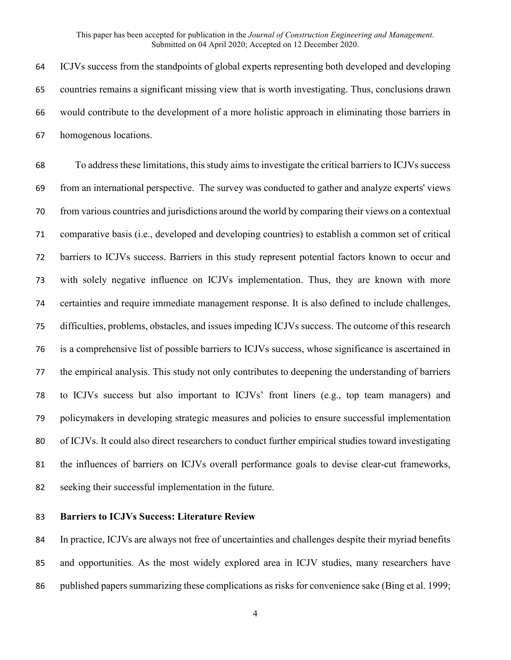ICJVs success from the standpoints of global experts representing both developed and developing countries remains a significant missing view that is worth investigating. Thus, conclusions drawn would contribute to the development of a more holistic approach in eliminating those barriers in homogenous locations.

 To address these limitations, this study aims to investigate the critical barriers to ICJVs success from an international perspective. The survey was conducted to gather and analyze experts' views from various countries and jurisdictions around the world by comparing their views on a contextual comparative basis (i.e., developed and developing countries) to establish a common set of critical barriers to ICJVs success. Barriers in this study represent potential factors known to occur and with solely negative influence on ICJVs implementation. Thus, they are known with more certainties and require immediate management response. It is also defined to include challenges, difficulties, problems, obstacles, and issues impeding ICJVs success. The outcome of this research is a comprehensive list of possible barriers to ICJVs success, whose significance is ascertained in the empirical analysis. This study not only contributes to deepening the understanding of barriers to ICJVs success but also important to ICJVs' front liners (e.g., top team managers) and policymakers in developing strategic measures and policies to ensure successful implementation of ICJVs. It could also direct researchers to conduct further empirical studies toward investigating the influences of barriers on ICJVs overall performance goals to devise clear-cut frameworks, seeking their successful implementation in the future.

## **Barriers to ICJVs Success: Literature Review**

 In practice, ICJVs are always not free of uncertainties and challenges despite their myriad benefits and opportunities. As the most widely explored area in ICJV studies, many researchers have 86 published papers summarizing these complications as risks for convenience sake (Bing et al. 1999;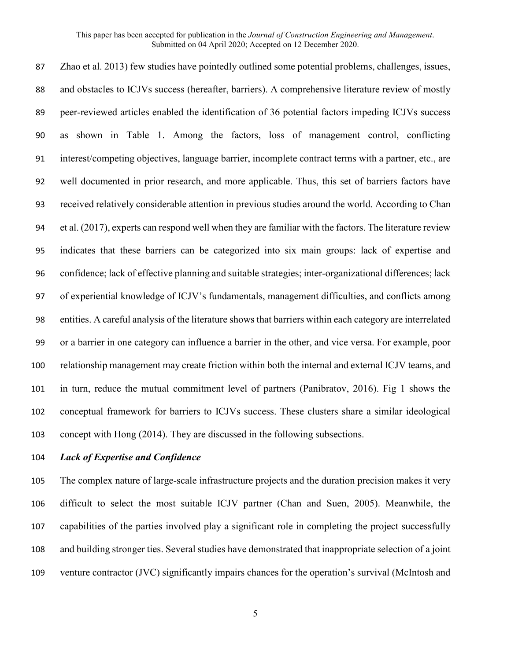Zhao et al. 2013) few studies have pointedly outlined some potential problems, challenges, issues, and obstacles to ICJVs success (hereafter, barriers). A comprehensive literature review of mostly peer-reviewed articles enabled the identification of 36 potential factors impeding ICJVs success as shown in Table 1. Among the factors, loss of management control, conflicting interest/competing objectives, language barrier, incomplete contract terms with a partner, etc., are well documented in prior research, and more applicable. Thus, this set of barriers factors have received relatively considerable attention in previous studies around the world. According to Chan et al. (2017), experts can respond well when they are familiar with the factors. The literature review indicates that these barriers can be categorized into six main groups: lack of expertise and confidence; lack of effective planning and suitable strategies; inter-organizational differences; lack of experiential knowledge of ICJV's fundamentals, management difficulties, and conflicts among entities. A careful analysis of the literature shows that barriers within each category are interrelated or a barrier in one category can influence a barrier in the other, and vice versa. For example, poor relationship management may create friction within both the internal and external ICJV teams, and in turn, reduce the mutual commitment level of partners (Panibratov, 2016). Fig 1 shows the conceptual framework for barriers to ICJVs success. These clusters share a similar ideological concept with Hong (2014). They are discussed in the following subsections.

## *Lack of Expertise and Confidence*

 The complex nature of large-scale infrastructure projects and the duration precision makes it very difficult to select the most suitable ICJV partner (Chan and Suen, 2005). Meanwhile, the capabilities of the parties involved play a significant role in completing the project successfully and building stronger ties. Several studies have demonstrated that inappropriate selection of a joint venture contractor (JVC) significantly impairs chances for the operation's survival (McIntosh and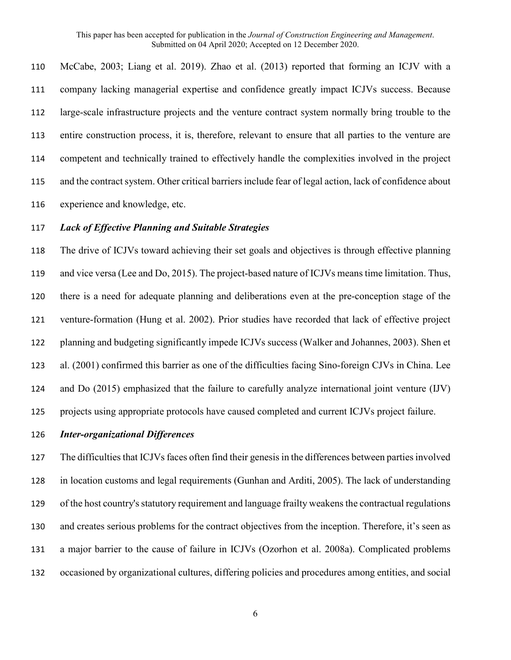McCabe, 2003; Liang et al. 2019). Zhao et al. (2013) reported that forming an ICJV with a company lacking managerial expertise and confidence greatly impact ICJVs success. Because large-scale infrastructure projects and the venture contract system normally bring trouble to the entire construction process, it is, therefore, relevant to ensure that all parties to the venture are competent and technically trained to effectively handle the complexities involved in the project 115 and the contract system. Other critical barriers include fear of legal action, lack of confidence about experience and knowledge, etc.

## *Lack of Effective Planning and Suitable Strategies*

 The drive of ICJVs toward achieving their set goals and objectives is through effective planning and vice versa (Lee and Do, 2015). The project-based nature of ICJVs means time limitation. Thus, there is a need for adequate planning and deliberations even at the pre-conception stage of the venture-formation (Hung et al. 2002). Prior studies have recorded that lack of effective project planning and budgeting significantly impede ICJVs success (Walker and Johannes, 2003). Shen et al. (2001) confirmed this barrier as one of the difficulties facing Sino-foreign CJVs in China. Lee and Do (2015) emphasized that the failure to carefully analyze international joint venture (IJV) projects using appropriate protocols have caused completed and current ICJVs project failure.

#### *Inter-organizational Differences*

 The difficulties that ICJVs faces often find their genesis in the differences between parties involved in location customs and legal requirements (Gunhan and Arditi, 2005). The lack of understanding of the host country's statutory requirement and language frailty weakens the contractual regulations and creates serious problems for the contract objectives from the inception. Therefore, it's seen as a major barrier to the cause of failure in ICJVs (Ozorhon et al. 2008a). Complicated problems occasioned by organizational cultures, differing policies and procedures among entities, and social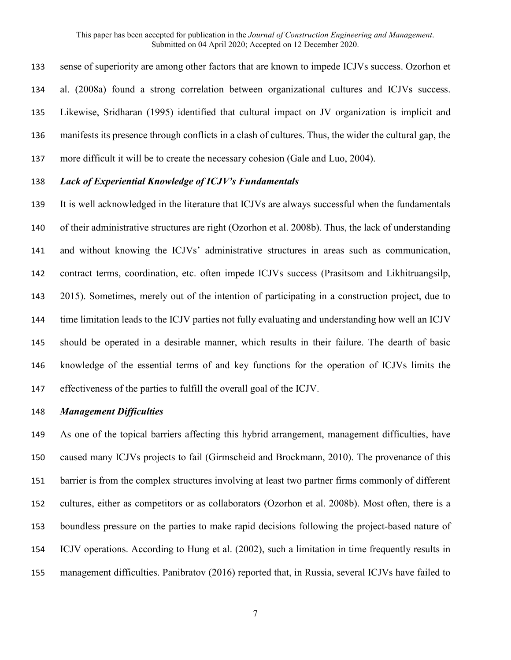sense of superiority are among other factors that are known to impede ICJVs success. Ozorhon et al. (2008a) found a strong correlation between organizational cultures and ICJVs success. Likewise, Sridharan (1995) identified that cultural impact on JV organization is implicit and manifests its presence through conflicts in a clash of cultures. Thus, the wider the cultural gap, the more difficult it will be to create the necessary cohesion (Gale and Luo, 2004).

## *Lack of Experiential Knowledge of ICJV's Fundamentals*

 It is well acknowledged in the literature that ICJVs are always successful when the fundamentals of their administrative structures are right (Ozorhon et al. 2008b). Thus, the lack of understanding and without knowing the ICJVs' administrative structures in areas such as communication, contract terms, coordination, etc. often impede ICJVs success (Prasitsom and Likhitruangsilp, 2015). Sometimes, merely out of the intention of participating in a construction project, due to time limitation leads to the ICJV parties not fully evaluating and understanding how well an ICJV should be operated in a desirable manner, which results in their failure. The dearth of basic knowledge of the essential terms of and key functions for the operation of ICJVs limits the effectiveness of the parties to fulfill the overall goal of the ICJV.

#### *Management Difficulties*

 As one of the topical barriers affecting this hybrid arrangement, management difficulties, have caused many ICJVs projects to fail (Girmscheid and Brockmann, 2010). The provenance of this barrier is from the complex structures involving at least two partner firms commonly of different cultures, either as competitors or as collaborators (Ozorhon et al. 2008b). Most often, there is a boundless pressure on the parties to make rapid decisions following the project-based nature of ICJV operations. According to Hung et al. (2002), such a limitation in time frequently results in management difficulties. Panibratov (2016) reported that, in Russia, several ICJVs have failed to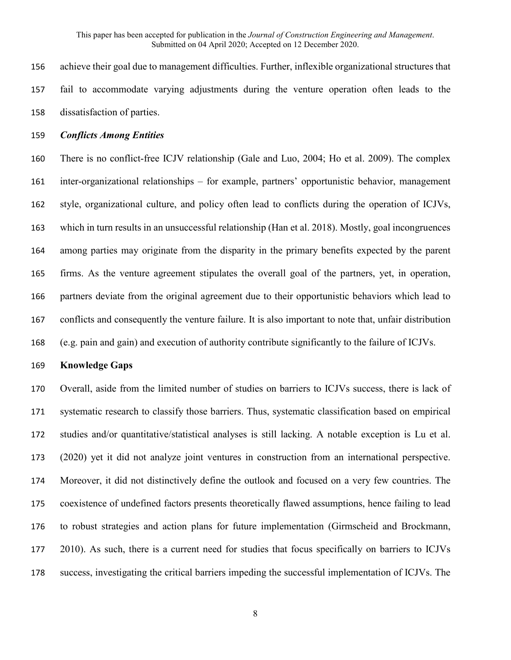achieve their goal due to management difficulties. Further, inflexible organizational structures that fail to accommodate varying adjustments during the venture operation often leads to the dissatisfaction of parties.

# *Conflicts Among Entities*

 There is no conflict-free ICJV relationship (Gale and Luo, 2004; Ho et al. 2009). The complex inter-organizational relationships – for example, partners' opportunistic behavior, management style, organizational culture, and policy often lead to conflicts during the operation of ICJVs, which in turn results in an unsuccessful relationship (Han et al. 2018). Mostly, goal incongruences among parties may originate from the disparity in the primary benefits expected by the parent firms. As the venture agreement stipulates the overall goal of the partners, yet, in operation, partners deviate from the original agreement due to their opportunistic behaviors which lead to conflicts and consequently the venture failure. It is also important to note that, unfair distribution (e.g. pain and gain) and execution of authority contribute significantly to the failure of ICJVs.

### **Knowledge Gaps**

 Overall, aside from the limited number of studies on barriers to ICJVs success, there is lack of systematic research to classify those barriers. Thus, systematic classification based on empirical studies and/or quantitative/statistical analyses is still lacking. A notable exception is Lu et al. (2020) yet it did not analyze joint ventures in construction from an international perspective. Moreover, it did not distinctively define the outlook and focused on a very few countries. The coexistence of undefined factors presents theoretically flawed assumptions, hence failing to lead to robust strategies and action plans for future implementation (Girmscheid and Brockmann, 177 2010). As such, there is a current need for studies that focus specifically on barriers to ICJVs success, investigating the critical barriers impeding the successful implementation of ICJVs. The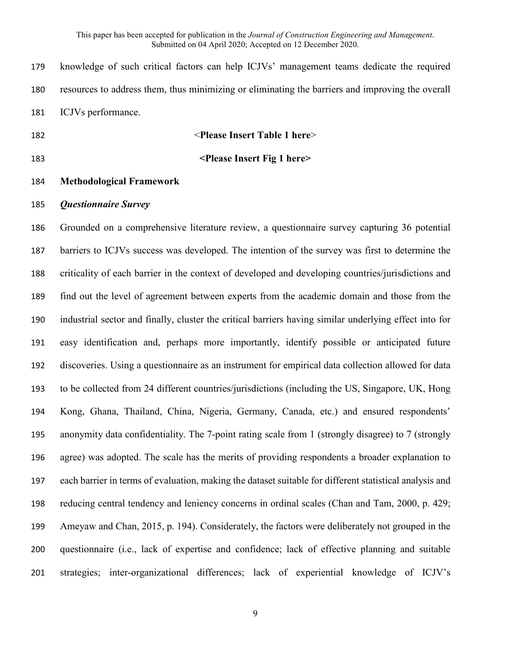knowledge of such critical factors can help ICJVs' management teams dedicate the required resources to address them, thus minimizing or eliminating the barriers and improving the overall ICJVs performance.

# <**Please Insert Table 1 here**>

**<Please Insert Fig 1 here>**

## **Methodological Framework**

### *Questionnaire Survey*

 Grounded on a comprehensive literature review, a questionnaire survey capturing 36 potential barriers to ICJVs success was developed. The intention of the survey was first to determine the criticality of each barrier in the context of developed and developing countries/jurisdictions and find out the level of agreement between experts from the academic domain and those from the industrial sector and finally, cluster the critical barriers having similar underlying effect into for easy identification and, perhaps more importantly, identify possible or anticipated future discoveries. Using a questionnaire as an instrument for empirical data collection allowed for data to be collected from 24 different countries/jurisdictions (including the US, Singapore, UK, Hong Kong, Ghana, Thailand, China, Nigeria, Germany, Canada, etc.) and ensured respondents' anonymity data confidentiality. The 7-point rating scale from 1 (strongly disagree) to 7 (strongly agree) was adopted. The scale has the merits of providing respondents a broader explanation to each barrier in terms of evaluation, making the dataset suitable for different statistical analysis and reducing central tendency and leniency concerns in ordinal scales (Chan and Tam, 2000, p. 429; Ameyaw and Chan, 2015, p. 194). Considerately, the factors were deliberately not grouped in the questionnaire (i.e., lack of expertise and confidence; lack of effective planning and suitable strategies; inter-organizational differences; lack of experiential knowledge of ICJV's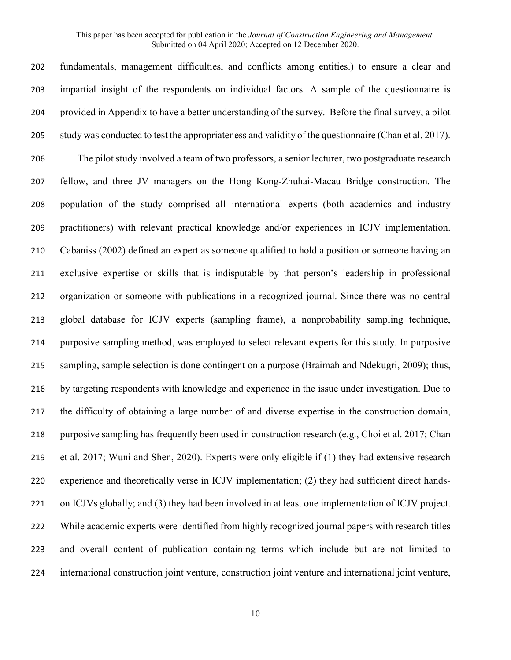fundamentals, management difficulties, and conflicts among entities.) to ensure a clear and impartial insight of the respondents on individual factors. A sample of the questionnaire is provided in Appendix to have a better understanding of the survey. Before the final survey, a pilot 205 study was conducted to test the appropriateness and validity of the questionnaire (Chan et al. 2017). The pilot study involved a team of two professors, a senior lecturer, two postgraduate research fellow, and three JV managers on the Hong Kong-Zhuhai-Macau Bridge construction. The population of the study comprised all international experts (both academics and industry practitioners) with relevant practical knowledge and/or experiences in ICJV implementation. Cabaniss (2002) defined an expert as someone qualified to hold a position or someone having an exclusive expertise or skills that is indisputable by that person's leadership in professional organization or someone with publications in a recognized journal. Since there was no central global database for ICJV experts (sampling frame), a nonprobability sampling technique, purposive sampling method, was employed to select relevant experts for this study. In purposive sampling, sample selection is done contingent on a purpose (Braimah and Ndekugri, 2009); thus, by targeting respondents with knowledge and experience in the issue under investigation. Due to the difficulty of obtaining a large number of and diverse expertise in the construction domain, purposive sampling has frequently been used in construction research (e.g., Choi et al. 2017; Chan et al. 2017; Wuni and Shen, 2020). Experts were only eligible if (1) they had extensive research experience and theoretically verse in ICJV implementation; (2) they had sufficient direct hands- on ICJVs globally; and (3) they had been involved in at least one implementation of ICJV project. While academic experts were identified from highly recognized journal papers with research titles and overall content of publication containing terms which include but are not limited to international construction joint venture, construction joint venture and international joint venture,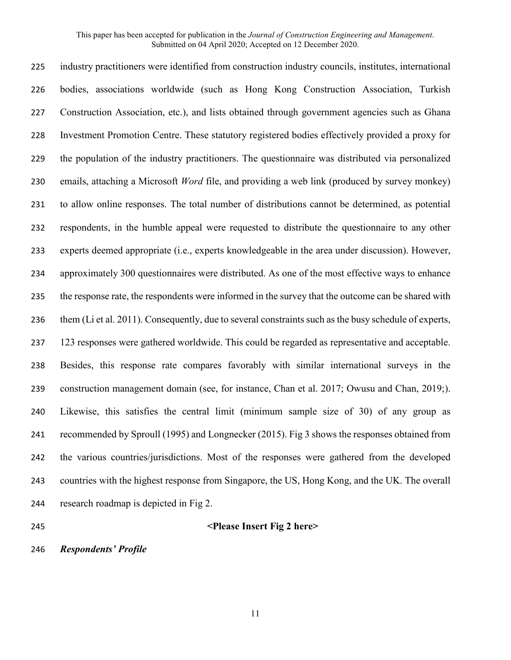industry practitioners were identified from construction industry councils, institutes, international bodies, associations worldwide (such as Hong Kong Construction Association, Turkish Construction Association, etc.), and lists obtained through government agencies such as Ghana Investment Promotion Centre. These statutory registered bodies effectively provided a proxy for the population of the industry practitioners. The questionnaire was distributed via personalized emails, attaching a Microsoft *Word* file, and providing a web link (produced by survey monkey) to allow online responses. The total number of distributions cannot be determined, as potential respondents, in the humble appeal were requested to distribute the questionnaire to any other experts deemed appropriate (i.e., experts knowledgeable in the area under discussion). However, approximately 300 questionnaires were distributed. As one of the most effective ways to enhance the response rate, the respondents were informed in the survey that the outcome can be shared with them (Li et al. 2011). Consequently, due to several constraints such as the busy schedule of experts, 123 responses were gathered worldwide. This could be regarded as representative and acceptable. Besides, this response rate compares favorably with similar international surveys in the construction management domain (see, for instance, Chan et al. 2017; Owusu and Chan, 2019;). Likewise, this satisfies the central limit (minimum sample size of 30) of any group as recommended by Sproull (1995) and Longnecker (2015). Fig 3 shows the responses obtained from the various countries/jurisdictions. Most of the responses were gathered from the developed countries with the highest response from Singapore, the US, Hong Kong, and the UK. The overall research roadmap is depicted in Fig 2.

## **<Please Insert Fig 2 here>**

*Respondents' Profile*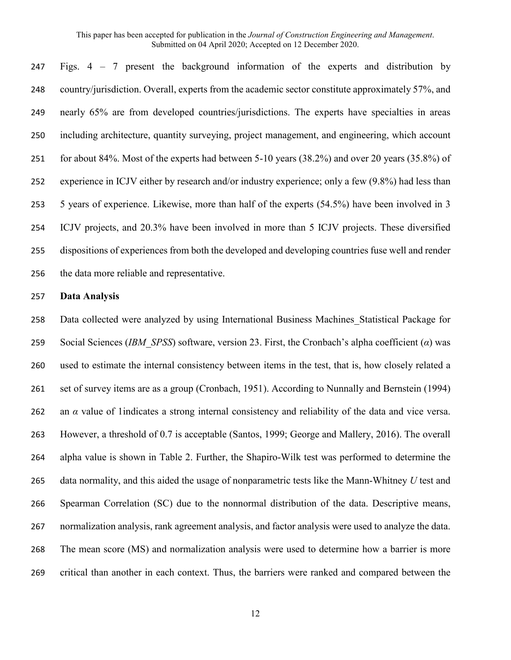Figs. 4 – 7 present the background information of the experts and distribution by country/jurisdiction. Overall, experts from the academic sector constitute approximately 57%, and nearly 65% are from developed countries/jurisdictions. The experts have specialties in areas including architecture, quantity surveying, project management, and engineering, which account for about 84%. Most of the experts had between 5-10 years (38.2%) and over 20 years (35.8%) of experience in ICJV either by research and/or industry experience; only a few (9.8%) had less than 5 years of experience. Likewise, more than half of the experts (54.5%) have been involved in 3 ICJV projects, and 20.3% have been involved in more than 5 ICJV projects. These diversified dispositions of experiences from both the developed and developing countries fuse well and render the data more reliable and representative.

### **Data Analysis**

 Data collected were analyzed by using International Business Machines\_Statistical Package for Social Sciences (*IBM\_SPSS*) software, version 23. First, the Cronbach's alpha coefficient (*α*) was used to estimate the internal consistency between items in the test, that is, how closely related a set of survey items are as a group (Cronbach, 1951). According to Nunnally and Bernstein (1994) an *α* value of 1indicates a strong internal consistency and reliability of the data and vice versa. However, a threshold of 0.7 is acceptable (Santos, 1999; George and Mallery, 2016). The overall alpha value is shown in Table 2. Further, the Shapiro-Wilk test was performed to determine the data normality, and this aided the usage of nonparametric tests like the Mann-Whitney *U* test and Spearman Correlation (SC) due to the nonnormal distribution of the data. Descriptive means, normalization analysis, rank agreement analysis, and factor analysis were used to analyze the data. The mean score (MS) and normalization analysis were used to determine how a barrier is more critical than another in each context. Thus, the barriers were ranked and compared between the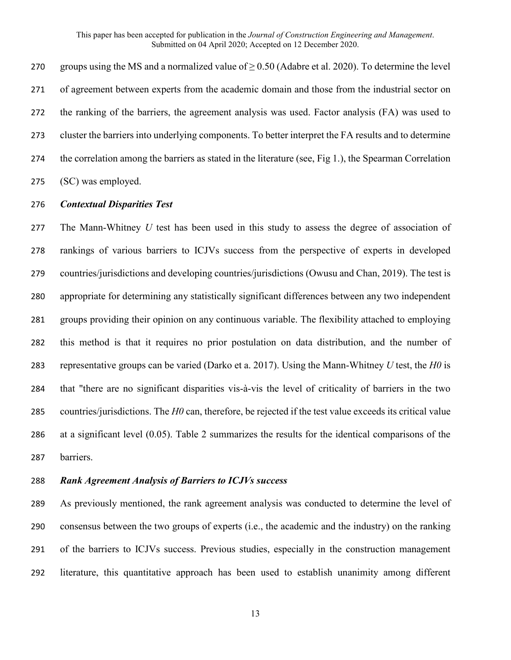270 groups using the MS and a normalized value of  $\geq$  0.50 (Adabre et al. 2020). To determine the level of agreement between experts from the academic domain and those from the industrial sector on the ranking of the barriers, the agreement analysis was used. Factor analysis (FA) was used to cluster the barriers into underlying components. To better interpret the FA results and to determine 274 the correlation among the barriers as stated in the literature (see, Fig 1.), the Spearman Correlation (SC) was employed.

### *Contextual Disparities Test*

 The Mann-Whitney *U* test has been used in this study to assess the degree of association of rankings of various barriers to ICJVs success from the perspective of experts in developed countries/jurisdictions and developing countries/jurisdictions (Owusu and Chan, 2019). The test is appropriate for determining any statistically significant differences between any two independent groups providing their opinion on any continuous variable. The flexibility attached to employing this method is that it requires no prior postulation on data distribution, and the number of representative groups can be varied (Darko et a. 2017). Using the Mann-Whitney *U* test, the *H0* is that "there are no significant disparities vis-à-vis the level of criticality of barriers in the two countries/jurisdictions. The *H0* can, therefore, be rejected if the test value exceeds its critical value at a significant level (0.05). Table 2 summarizes the results for the identical comparisons of the barriers.

## *Rank Agreement Analysis of Barriers to ICJVs success*

 As previously mentioned, the rank agreement analysis was conducted to determine the level of consensus between the two groups of experts (i.e., the academic and the industry) on the ranking of the barriers to ICJVs success. Previous studies, especially in the construction management literature, this quantitative approach has been used to establish unanimity among different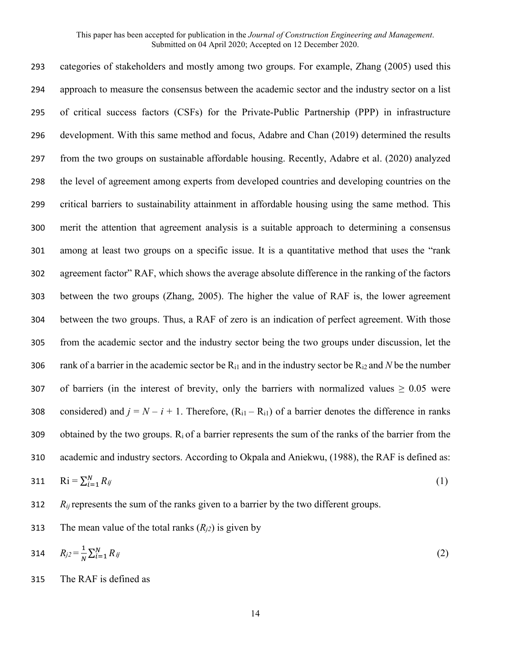categories of stakeholders and mostly among two groups. For example, Zhang (2005) used this approach to measure the consensus between the academic sector and the industry sector on a list of critical success factors (CSFs) for the Private-Public Partnership (PPP) in infrastructure development. With this same method and focus, Adabre and Chan (2019) determined the results from the two groups on sustainable affordable housing. Recently, Adabre et al. (2020) analyzed the level of agreement among experts from developed countries and developing countries on the critical barriers to sustainability attainment in affordable housing using the same method. This merit the attention that agreement analysis is a suitable approach to determining a consensus among at least two groups on a specific issue. It is a quantitative method that uses the "rank agreement factor" RAF, which shows the average absolute difference in the ranking of the factors between the two groups (Zhang, 2005). The higher the value of RAF is, the lower agreement between the two groups. Thus, a RAF of zero is an indication of perfect agreement. With those from the academic sector and the industry sector being the two groups under discussion, let the 306 rank of a barrier in the academic sector be  $R_{i1}$  and in the industry sector be  $R_{i2}$  and *N* be the number 307 of barriers (in the interest of brevity, only the barriers with normalized values  $\geq 0.05$  were 308 considered) and  $j = N - i + 1$ . Therefore,  $(R_{i1} - R_{i1})$  of a barrier denotes the difference in ranks 309 obtained by the two groups.  $R_i$  of a barrier represents the sum of the ranks of the barrier from the academic and industry sectors. According to Okpala and Aniekwu, (1988), the RAF is defined as:  $\mathrm{R}$ i =  $\sum_{i=1}^{N} R_{ij}$  $\text{Ri} = \sum_{i=1}^{N} R_{ij}$  (1)

312 *R<sub>ij</sub>* represents the sum of the ranks given to a barrier by the two different groups.

313 The mean value of the total ranks  $(R_{i2})$  is given by

314 
$$
R_{j2} = \frac{1}{N} \sum_{i=1}^{N} R_{ij}
$$
 (2)

315 The RAF is defined as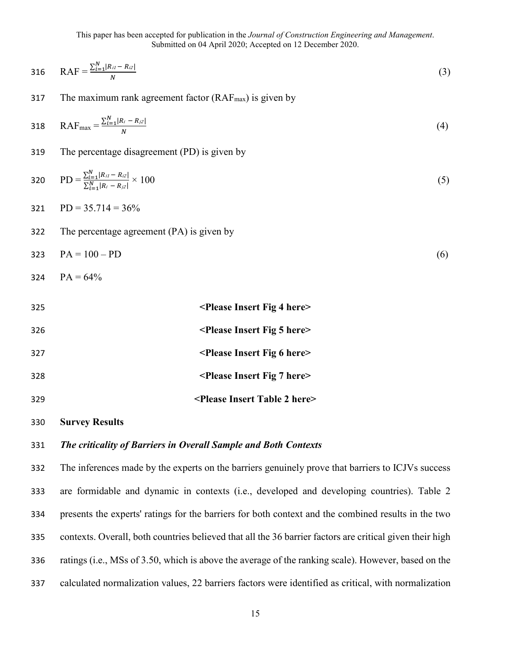316 
$$
RAF = \frac{\sum_{i=1}^{N} |R_{i1} - R_{i2}|}{N}
$$
 (3)

317 The maximum rank agreement factor  $(RAF<sub>max</sub>)$  is given by

318 
$$
RAF_{\text{max}} = \frac{\sum_{i=1}^{N} |R_i - R_{i2}|}{N}
$$
 (4)

The percentage disagreement (PD) is given by

320 
$$
PD = \frac{\sum_{i=1}^{N} |R_{i1} - R_{i2}|}{\sum_{i=1}^{N} |R_{i} - R_{i2}|} \times 100
$$
 (5)

$$
321 \qquad \text{PD} = 35.714 = 36\%
$$

The percentage agreement (PA) is given by

$$
PA = 100 - PD
$$
 (6)

$$
324 \qquad PA = 64\%
$$

| 325 | <please 4="" fig="" here="" insert=""></please>   |
|-----|---------------------------------------------------|
| 326 | $\leq$ Please Insert Fig 5 here $\geq$            |
| 327 | <please 6="" fig="" here="" insert=""></please>   |
| 328 | <please 7="" fig="" here="" insert=""></please>   |
| 329 | <please 2="" here="" insert="" table=""></please> |

## **Survey Results**

# *The criticality of Barriers in Overall Sample and Both Contexts*

 The inferences made by the experts on the barriers genuinely prove that barriers to ICJVs success are formidable and dynamic in contexts (i.e., developed and developing countries). Table 2 presents the experts' ratings for the barriers for both context and the combined results in the two contexts. Overall, both countries believed that all the 36 barrier factors are critical given their high ratings (i.e., MSs of 3.50, which is above the average of the ranking scale). However, based on the calculated normalization values, 22 barriers factors were identified as critical, with normalization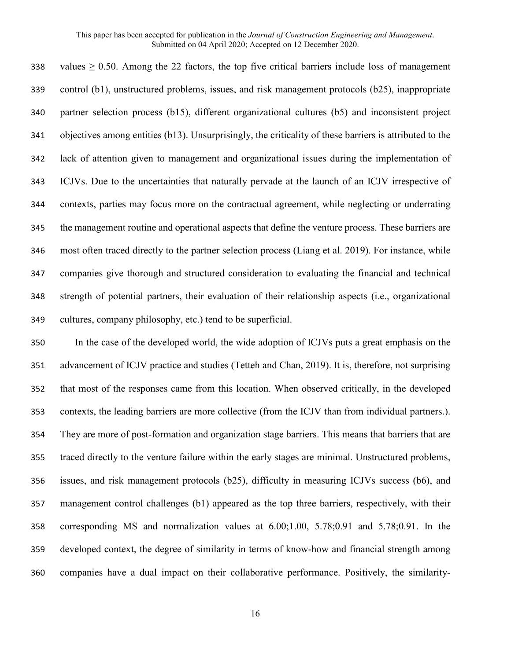338 values  $\geq 0.50$ . Among the 22 factors, the top five critical barriers include loss of management control (b1), unstructured problems, issues, and risk management protocols (b25), inappropriate partner selection process (b15), different organizational cultures (b5) and inconsistent project objectives among entities (b13). Unsurprisingly, the criticality of these barriers is attributed to the lack of attention given to management and organizational issues during the implementation of ICJVs. Due to the uncertainties that naturally pervade at the launch of an ICJV irrespective of contexts, parties may focus more on the contractual agreement, while neglecting or underrating the management routine and operational aspects that define the venture process. These barriers are most often traced directly to the partner selection process (Liang et al. 2019). For instance, while companies give thorough and structured consideration to evaluating the financial and technical strength of potential partners, their evaluation of their relationship aspects (i.e., organizational cultures, company philosophy, etc.) tend to be superficial.

 In the case of the developed world, the wide adoption of ICJVs puts a great emphasis on the advancement of ICJV practice and studies (Tetteh and Chan, 2019). It is, therefore, not surprising that most of the responses came from this location. When observed critically, in the developed contexts, the leading barriers are more collective (from the ICJV than from individual partners.). They are more of post-formation and organization stage barriers. This means that barriers that are traced directly to the venture failure within the early stages are minimal. Unstructured problems, issues, and risk management protocols (b25), difficulty in measuring ICJVs success (b6), and management control challenges (b1) appeared as the top three barriers, respectively, with their corresponding MS and normalization values at 6.00;1.00, 5.78;0.91 and 5.78;0.91. In the developed context, the degree of similarity in terms of know-how and financial strength among companies have a dual impact on their collaborative performance. Positively, the similarity-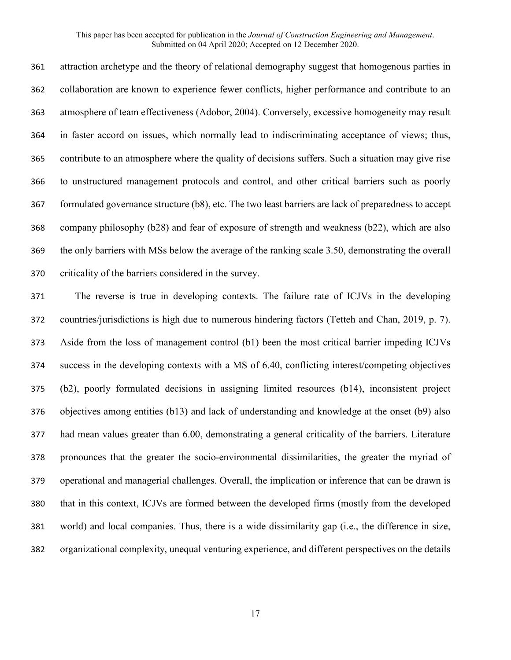attraction archetype and the theory of relational demography suggest that homogenous parties in collaboration are known to experience fewer conflicts, higher performance and contribute to an atmosphere of team effectiveness (Adobor, 2004). Conversely, excessive homogeneity may result in faster accord on issues, which normally lead to indiscriminating acceptance of views; thus, contribute to an atmosphere where the quality of decisions suffers. Such a situation may give rise to unstructured management protocols and control, and other critical barriers such as poorly formulated governance structure (b8), etc. The two least barriers are lack of preparedness to accept company philosophy (b28) and fear of exposure of strength and weakness (b22), which are also the only barriers with MSs below the average of the ranking scale 3.50, demonstrating the overall criticality of the barriers considered in the survey.

 The reverse is true in developing contexts. The failure rate of ICJVs in the developing countries/jurisdictions is high due to numerous hindering factors (Tetteh and Chan, 2019, p. 7). Aside from the loss of management control (b1) been the most critical barrier impeding ICJVs success in the developing contexts with a MS of 6.40, conflicting interest/competing objectives (b2), poorly formulated decisions in assigning limited resources (b14), inconsistent project objectives among entities (b13) and lack of understanding and knowledge at the onset (b9) also had mean values greater than 6.00, demonstrating a general criticality of the barriers. Literature pronounces that the greater the socio-environmental dissimilarities, the greater the myriad of operational and managerial challenges. Overall, the implication or inference that can be drawn is that in this context, ICJVs are formed between the developed firms (mostly from the developed world) and local companies. Thus, there is a wide dissimilarity gap (i.e., the difference in size, organizational complexity, unequal venturing experience, and different perspectives on the details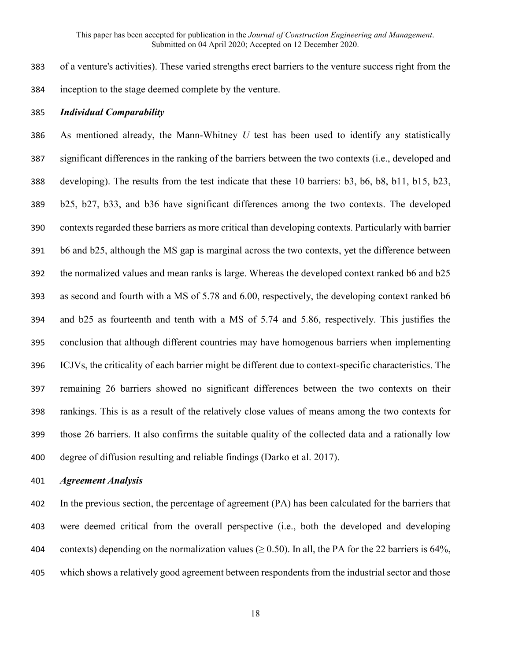of a venture's activities). These varied strengths erect barriers to the venture success right from the inception to the stage deemed complete by the venture.

## *Individual Comparability*

 As mentioned already, the Mann-Whitney *U* test has been used to identify any statistically significant differences in the ranking of the barriers between the two contexts (i.e., developed and developing). The results from the test indicate that these 10 barriers: b3, b6, b8, b11, b15, b23, b25, b27, b33, and b36 have significant differences among the two contexts. The developed contexts regarded these barriers as more critical than developing contexts. Particularly with barrier b6 and b25, although the MS gap is marginal across the two contexts, yet the difference between the normalized values and mean ranks is large. Whereas the developed context ranked b6 and b25 as second and fourth with a MS of 5.78 and 6.00, respectively, the developing context ranked b6 and b25 as fourteenth and tenth with a MS of 5.74 and 5.86, respectively. This justifies the conclusion that although different countries may have homogenous barriers when implementing ICJVs, the criticality of each barrier might be different due to context-specific characteristics. The remaining 26 barriers showed no significant differences between the two contexts on their rankings. This is as a result of the relatively close values of means among the two contexts for those 26 barriers. It also confirms the suitable quality of the collected data and a rationally low degree of diffusion resulting and reliable findings (Darko et al. 2017).

## *Agreement Analysis*

 In the previous section, the percentage of agreement (PA) has been calculated for the barriers that were deemed critical from the overall perspective (i.e., both the developed and developing 404 contexts) depending on the normalization values ( $\geq$  0.50). In all, the PA for the 22 barriers is 64%, which shows a relatively good agreement between respondents from the industrial sector and those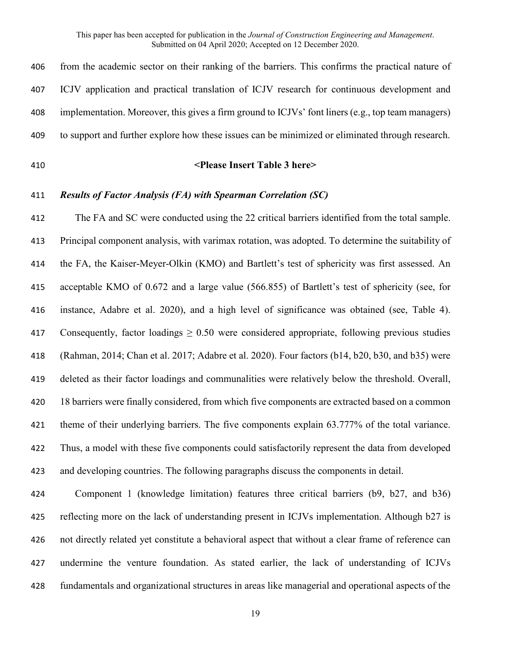| 406 | from the academic sector on their ranking of the barriers. This confirms the practical nature of   |
|-----|----------------------------------------------------------------------------------------------------|
| 407 | ICJV application and practical translation of ICJV research for continuous development and         |
| 408 | implementation. Moreover, this gives a firm ground to ICJVs' font liners (e.g., top team managers) |
| 409 | to support and further explore how these issues can be minimized or eliminated through research.   |
| 410 | <please 3="" here="" insert="" table=""></please>                                                  |
| 411 | <b>Results of Factor Analysis (FA) with Spearman Correlation (SC)</b>                              |
| 412 | The FA and SC were conducted using the 22 critical barriers identified from the total sample.      |
| 413 | Principal component analysis, with varimax rotation, was adopted. To determine the suitability of  |
| 414 | the FA, the Kaiser-Meyer-Olkin (KMO) and Bartlett's test of sphericity was first assessed. An      |
| 415 | acceptable KMO of 0.672 and a large value (566.855) of Bartlett's test of sphericity (see, for     |
| 416 | instance, Adabre et al. 2020), and a high level of significance was obtained (see, Table 4).       |
| 417 | Consequently, factor loadings $\geq 0.50$ were considered appropriate, following previous studies  |
| 418 | (Rahman, 2014; Chan et al. 2017; Adabre et al. 2020). Four factors (b14, b20, b30, and b35) were   |

 deleted as their factor loadings and communalities were relatively below the threshold. Overall, 18 barriers were finally considered, from which five components are extracted based on a common 421 theme of their underlying barriers. The five components explain 63.777% of the total variance. Thus, a model with these five components could satisfactorily represent the data from developed and developing countries. The following paragraphs discuss the components in detail.

 Component 1 (knowledge limitation) features three critical barriers (b9, b27, and b36) reflecting more on the lack of understanding present in ICJVs implementation. Although b27 is not directly related yet constitute a behavioral aspect that without a clear frame of reference can undermine the venture foundation. As stated earlier, the lack of understanding of ICJVs fundamentals and organizational structures in areas like managerial and operational aspects of the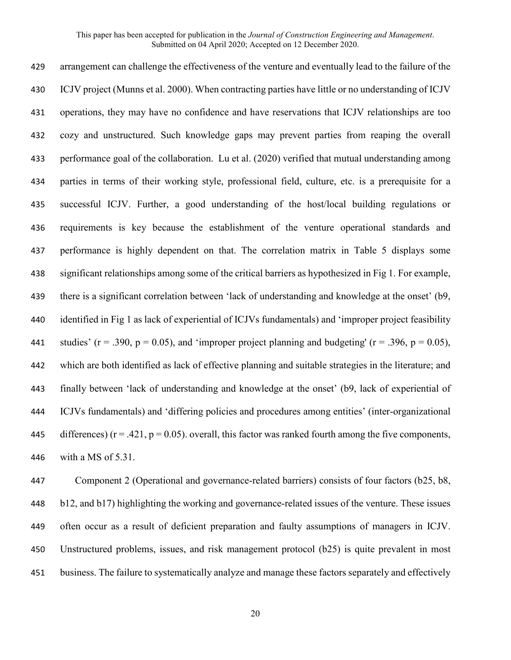arrangement can challenge the effectiveness of the venture and eventually lead to the failure of the ICJV project (Munns et al. 2000). When contracting parties have little or no understanding of ICJV operations, they may have no confidence and have reservations that ICJV relationships are too cozy and unstructured. Such knowledge gaps may prevent parties from reaping the overall performance goal of the collaboration. Lu et al. (2020) verified that mutual understanding among parties in terms of their working style, professional field, culture, etc. is a prerequisite for a successful ICJV. Further, a good understanding of the host/local building regulations or requirements is key because the establishment of the venture operational standards and performance is highly dependent on that. The correlation matrix in Table 5 displays some significant relationships among some of the critical barriers as hypothesized in Fig 1. For example, there is a significant correlation between 'lack of understanding and knowledge at the onset' (b9, identified in Fig 1 as lack of experiential of ICJVs fundamentals) and 'improper project feasibility 441 studies' ( $r = .390$ ,  $p = 0.05$ ), and 'improper project planning and budgeting' ( $r = .396$ ,  $p = 0.05$ ), which are both identified as lack of effective planning and suitable strategies in the literature; and finally between 'lack of understanding and knowledge at the onset' (b9, lack of experiential of ICJVs fundamentals) and 'differing policies and procedures among entities' (inter-organizational 445 differences) ( $r = .421$ ,  $p = 0.05$ ). overall, this factor was ranked fourth among the five components, with a MS of 5.31.

 Component 2 (Operational and governance-related barriers) consists of four factors (b25, b8, b12, and b17) highlighting the working and governance-related issues of the venture. These issues often occur as a result of deficient preparation and faulty assumptions of managers in ICJV. Unstructured problems, issues, and risk management protocol (b25) is quite prevalent in most business. The failure to systematically analyze and manage these factors separately and effectively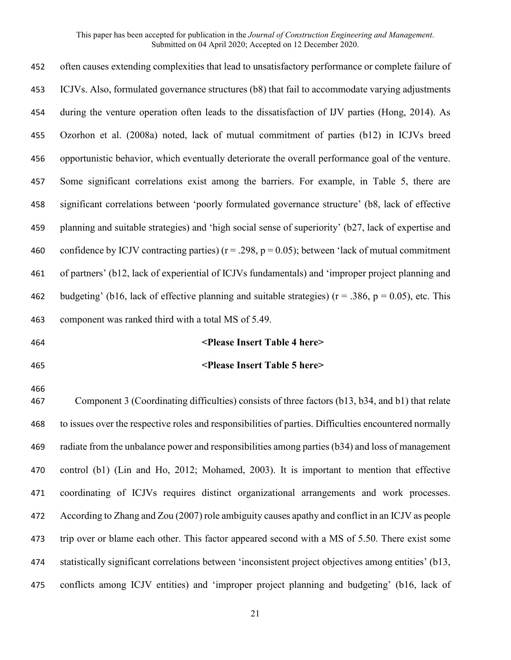| 452        | often causes extending complexities that lead to unsatisfactory performance or complete failure of          |
|------------|-------------------------------------------------------------------------------------------------------------|
| 453        | ICJVs. Also, formulated governance structures (b8) that fail to accommodate varying adjustments             |
| 454        | during the venture operation often leads to the dissatisfaction of IJV parties (Hong, 2014). As             |
| 455        | Ozorhon et al. (2008a) noted, lack of mutual commitment of parties (b12) in ICJVs breed                     |
| 456        | opportunistic behavior, which eventually deteriorate the overall performance goal of the venture.           |
| 457        | Some significant correlations exist among the barriers. For example, in Table 5, there are                  |
| 458        | significant correlations between 'poorly formulated governance structure' (b8, lack of effective            |
| 459        | planning and suitable strategies) and 'high social sense of superiority' (b27, lack of expertise and        |
| 460        | confidence by ICJV contracting parties) ( $r = .298$ , $p = 0.05$ ); between 'lack of mutual commitment     |
| 461        | of partners' (b12, lack of experiential of ICJVs fundamentals) and 'improper project planning and           |
| 462        | budgeting' (b16, lack of effective planning and suitable strategies) ( $r = .386$ , $p = 0.05$ ), etc. This |
|            |                                                                                                             |
| 463        | component was ranked third with a total MS of 5.49.                                                         |
| 464        | <please 4="" here="" insert="" table=""></please>                                                           |
| 465        | <please 5="" here="" insert="" table=""></please>                                                           |
| 466<br>467 | Component 3 (Coordinating difficulties) consists of three factors (b13, b34, and b1) that relate            |
| 468        | to issues over the respective roles and responsibilities of parties. Difficulties encountered normally      |
| 469        | radiate from the unbalance power and responsibilities among parties (b34) and loss of management            |
| 470        | control (b1) (Lin and Ho, 2012; Mohamed, 2003). It is important to mention that effective                   |
| 471        | coordinating of ICJVs requires distinct organizational arrangements and work processes.                     |
| 472        | According to Zhang and Zou (2007) role ambiguity causes apathy and conflict in an ICJV as people            |
| 473        | trip over or blame each other. This factor appeared second with a MS of 5.50. There exist some              |
| 474        | statistically significant correlations between 'inconsistent project objectives among entities' (b13,       |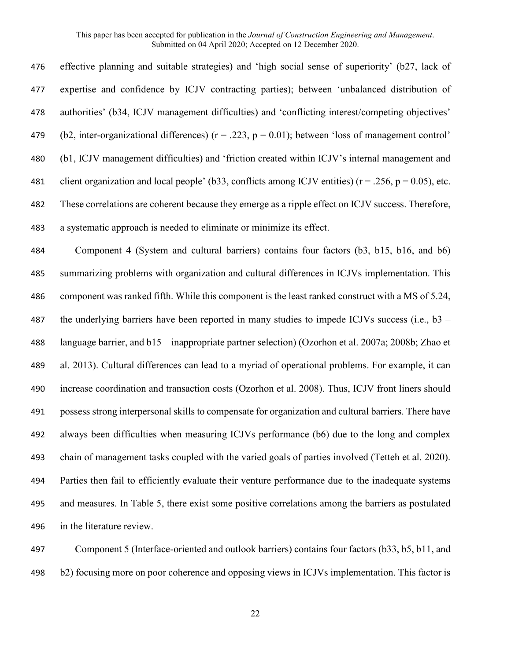effective planning and suitable strategies) and 'high social sense of superiority' (b27, lack of expertise and confidence by ICJV contracting parties); between 'unbalanced distribution of authorities' (b34, ICJV management difficulties) and 'conflicting interest/competing objectives' 479 (b2, inter-organizational differences) ( $r = .223$ ,  $p = 0.01$ ); between 'loss of management control' (b1, ICJV management difficulties) and 'friction created within ICJV's internal management and 481 client organization and local people' (b33, conflicts among ICJV entities) ( $r = .256$ ,  $p = 0.05$ ), etc. These correlations are coherent because they emerge as a ripple effect on ICJV success. Therefore, a systematic approach is needed to eliminate or minimize its effect.

 Component 4 (System and cultural barriers) contains four factors (b3, b15, b16, and b6) summarizing problems with organization and cultural differences in ICJVs implementation. This component was ranked fifth. While this component is the least ranked construct with a MS of 5.24, 487 the underlying barriers have been reported in many studies to impede ICJVs success (i.e.,  $b3 -$  language barrier, and b15 – inappropriate partner selection) (Ozorhon et al. 2007a; 2008b; Zhao et al. 2013). Cultural differences can lead to a myriad of operational problems. For example, it can increase coordination and transaction costs (Ozorhon et al. 2008). Thus, ICJV front liners should possess strong interpersonal skills to compensate for organization and cultural barriers. There have always been difficulties when measuring ICJVs performance (b6) due to the long and complex chain of management tasks coupled with the varied goals of parties involved (Tetteh et al. 2020). Parties then fail to efficiently evaluate their venture performance due to the inadequate systems and measures. In Table 5, there exist some positive correlations among the barriers as postulated in the literature review.

 Component 5 (Interface-oriented and outlook barriers) contains four factors (b33, b5, b11, and b2) focusing more on poor coherence and opposing views in ICJVs implementation. This factor is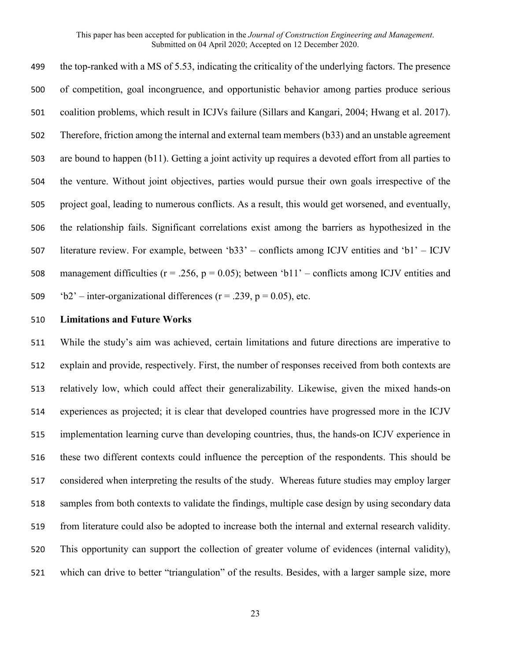the top-ranked with a MS of 5.53, indicating the criticality of the underlying factors. The presence of competition, goal incongruence, and opportunistic behavior among parties produce serious coalition problems, which result in ICJVs failure (Sillars and Kangari, 2004; Hwang et al. 2017). Therefore, friction among the internal and external team members (b33) and an unstable agreement are bound to happen (b11). Getting a joint activity up requires a devoted effort from all parties to the venture. Without joint objectives, parties would pursue their own goals irrespective of the project goal, leading to numerous conflicts. As a result, this would get worsened, and eventually, the relationship fails. Significant correlations exist among the barriers as hypothesized in the literature review. For example, between 'b33' – conflicts among ICJV entities and 'b1' – ICJV 508 management difficulties ( $r = .256$ ,  $p = 0.05$ ); between 'b11' – conflicts among ICJV entities and  $b2'$  – inter-organizational differences ( $r = .239$ ,  $p = 0.05$ ), etc.

## **Limitations and Future Works**

 While the study's aim was achieved, certain limitations and future directions are imperative to explain and provide, respectively. First, the number of responses received from both contexts are relatively low, which could affect their generalizability. Likewise, given the mixed hands-on experiences as projected; it is clear that developed countries have progressed more in the ICJV implementation learning curve than developing countries, thus, the hands-on ICJV experience in these two different contexts could influence the perception of the respondents. This should be considered when interpreting the results of the study. Whereas future studies may employ larger samples from both contexts to validate the findings, multiple case design by using secondary data from literature could also be adopted to increase both the internal and external research validity. This opportunity can support the collection of greater volume of evidences (internal validity), which can drive to better "triangulation" of the results. Besides, with a larger sample size, more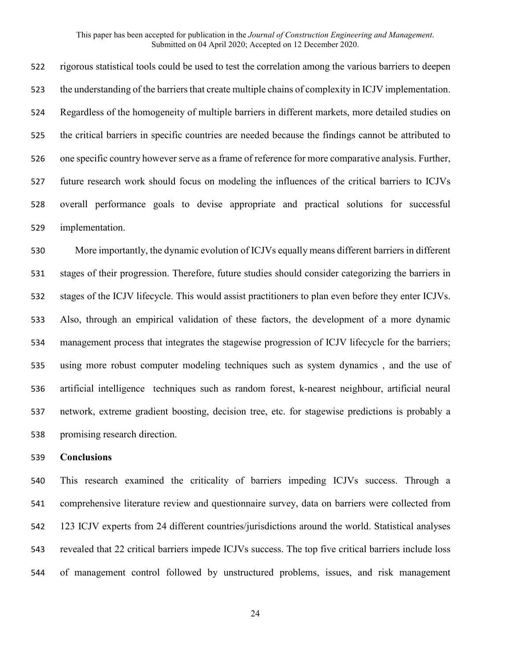rigorous statistical tools could be used to test the correlation among the various barriers to deepen the understanding of the barriers that create multiple chains of complexity in ICJV implementation. Regardless of the homogeneity of multiple barriers in different markets, more detailed studies on the critical barriers in specific countries are needed because the findings cannot be attributed to one specific country however serve as a frame of reference for more comparative analysis. Further, future research work should focus on modeling the influences of the critical barriers to ICJVs overall performance goals to devise appropriate and practical solutions for successful implementation.

 More importantly, the dynamic evolution of ICJVs equally means different barriers in different stages of their progression. Therefore, future studies should consider categorizing the barriers in stages of the ICJV lifecycle. This would assist practitioners to plan even before they enter ICJVs. Also, through an empirical validation of these factors, the development of a more dynamic management process that integrates the stagewise progression of ICJV lifecycle for the barriers; using more robust computer modeling techniques such as system dynamics , and the use of artificial intelligence techniques such as random forest, k-nearest neighbour, artificial neural network, extreme gradient boosting, decision tree, etc. for stagewise predictions is probably a promising research direction.

## **Conclusions**

 This research examined the criticality of barriers impeding ICJVs success. Through a comprehensive literature review and questionnaire survey, data on barriers were collected from 123 ICJV experts from 24 different countries/jurisdictions around the world. Statistical analyses revealed that 22 critical barriers impede ICJVs success. The top five critical barriers include loss of management control followed by unstructured problems, issues, and risk management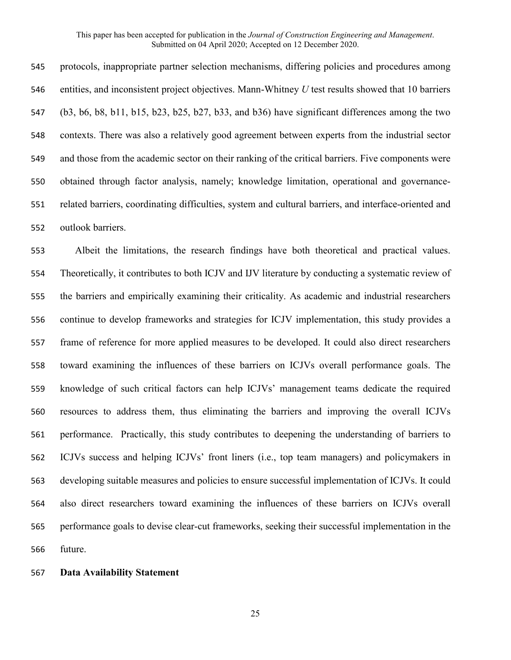protocols, inappropriate partner selection mechanisms, differing policies and procedures among entities, and inconsistent project objectives. Mann-Whitney *U* test results showed that 10 barriers (b3, b6, b8, b11, b15, b23, b25, b27, b33, and b36) have significant differences among the two contexts. There was also a relatively good agreement between experts from the industrial sector and those from the academic sector on their ranking of the critical barriers. Five components were obtained through factor analysis, namely; knowledge limitation, operational and governance- related barriers, coordinating difficulties, system and cultural barriers, and interface-oriented and outlook barriers.

 Albeit the limitations, the research findings have both theoretical and practical values. Theoretically, it contributes to both ICJV and IJV literature by conducting a systematic review of the barriers and empirically examining their criticality. As academic and industrial researchers continue to develop frameworks and strategies for ICJV implementation, this study provides a frame of reference for more applied measures to be developed. It could also direct researchers toward examining the influences of these barriers on ICJVs overall performance goals. The knowledge of such critical factors can help ICJVs' management teams dedicate the required resources to address them, thus eliminating the barriers and improving the overall ICJVs performance. Practically, this study contributes to deepening the understanding of barriers to ICJVs success and helping ICJVs' front liners (i.e., top team managers) and policymakers in developing suitable measures and policies to ensure successful implementation of ICJVs. It could also direct researchers toward examining the influences of these barriers on ICJVs overall performance goals to devise clear-cut frameworks, seeking their successful implementation in the future.

## **Data Availability Statement**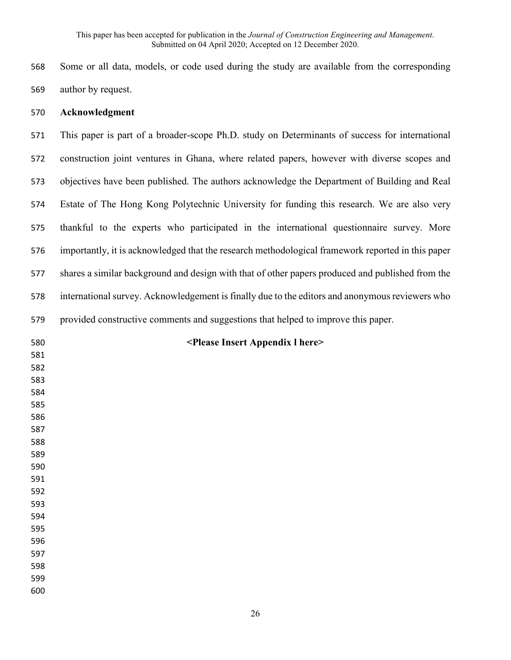Some or all data, models, or code used during the study are available from the corresponding author by request.

## **Acknowledgment**

 This paper is part of a broader-scope Ph.D. study on Determinants of success for international construction joint ventures in Ghana, where related papers, however with diverse scopes and objectives have been published. The authors acknowledge the Department of Building and Real Estate of The Hong Kong Polytechnic University for funding this research. We are also very thankful to the experts who participated in the international questionnaire survey. More importantly, it is acknowledged that the research methodological framework reported in this paper shares a similar background and design with that of other papers produced and published from the international survey. Acknowledgement is finally due to the editors and anonymous reviewers who provided constructive comments and suggestions that helped to improve this paper.

| 580 | <please 1="" appendix="" here="" insert=""></please> |
|-----|------------------------------------------------------|
| 581 |                                                      |
| 582 |                                                      |
| 583 |                                                      |
| 584 |                                                      |
| 585 |                                                      |
| 586 |                                                      |
| 587 |                                                      |
| 588 |                                                      |
| 589 |                                                      |
| 590 |                                                      |
| 591 |                                                      |
| 592 |                                                      |
| 593 |                                                      |
| 594 |                                                      |
| 595 |                                                      |
| 596 |                                                      |
| 597 |                                                      |
| 598 |                                                      |
| 599 |                                                      |
| 600 |                                                      |
|     |                                                      |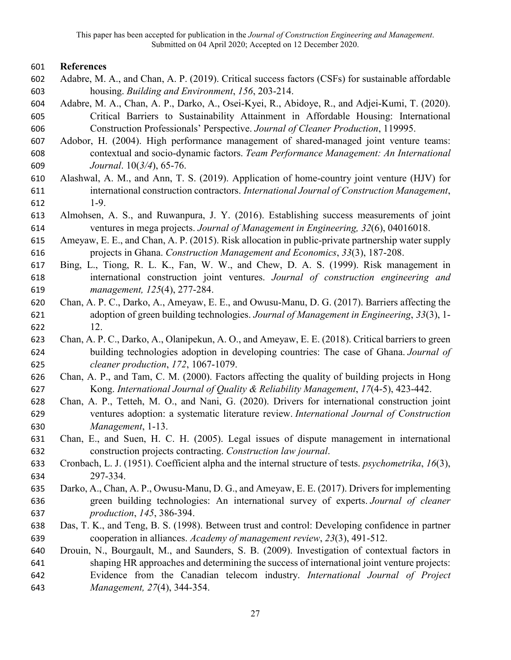# **References**

- Adabre, M. A., and Chan, A. P. (2019). Critical success factors (CSFs) for sustainable affordable housing. *Building and Environment*, *156*, 203-214.
- Adabre, M. A., Chan, A. P., Darko, A., Osei-Kyei, R., Abidoye, R., and Adjei-Kumi, T. (2020). Critical Barriers to Sustainability Attainment in Affordable Housing: International Construction Professionals' Perspective. *Journal of Cleaner Production*, 119995.
- Adobor, H. (2004). High performance management of shared‐managed joint venture teams: contextual and socio‐dynamic factors. *Team Performance Management: An International Journal*. 10(*3/4*), 65-76.
- Alashwal, A. M., and Ann, T. S. (2019). Application of home-country joint venture (HJV) for international construction contractors. *International Journal of Construction Management*, 1-9.
- Almohsen, A. S., and Ruwanpura, J. Y. (2016). Establishing success measurements of joint ventures in mega projects. *Journal of Management in Engineering, 32*(6), 04016018.
- Ameyaw, E. E., and Chan, A. P. (2015). Risk allocation in public-private partnership water supply projects in Ghana. *Construction Management and Economics*, *33*(3), 187-208.
- Bing, L., Tiong, R. L. K., Fan, W. W., and Chew, D. A. S. (1999). Risk management in international construction joint ventures. *Journal of construction engineering and management, 125*(4), 277-284.
- Chan, A. P. C., Darko, A., Ameyaw, E. E., and Owusu-Manu, D. G. (2017). Barriers affecting the adoption of green building technologies. *Journal of Management in Engineering*, *33*(3), 1- 12.
- Chan, A. P. C., Darko, A., Olanipekun, A. O., and Ameyaw, E. E. (2018). Critical barriers to green building technologies adoption in developing countries: The case of Ghana. *Journal of cleaner production*, *172*, 1067-1079.
- Chan, A. P., and Tam, C. M. (2000). Factors affecting the quality of building projects in Hong Kong. *International Journal of Quality & Reliability Management*, *17*(4-5), 423-442.
- Chan, A. P., Tetteh, M. O., and Nani, G. (2020). Drivers for international construction joint ventures adoption: a systematic literature review. *International Journal of Construction Management*, 1-13.
- Chan, E., and Suen, H. C. H. (2005). Legal issues of dispute management in international construction projects contracting. *Construction law journal*.
- Cronbach, L. J. (1951). Coefficient alpha and the internal structure of tests. *psychometrika*, *16*(3), 297-334.
- Darko, A., Chan, A. P., Owusu-Manu, D. G., and Ameyaw, E. E. (2017). Drivers for implementing green building technologies: An international survey of experts. *Journal of cleaner production*, *145*, 386-394.
- Das, T. K., and Teng, B. S. (1998). Between trust and control: Developing confidence in partner cooperation in alliances. *Academy of management review*, *23*(3), 491-512.
- Drouin, N., Bourgault, M., and Saunders, S. B. (2009). Investigation of contextual factors in shaping HR approaches and determining the success of international joint venture projects: Evidence from the Canadian telecom industry. *International Journal of Project Management, 27*(4), 344-354.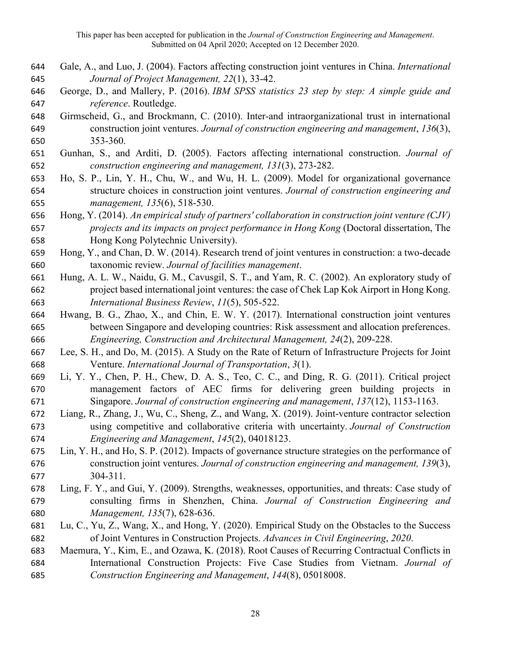- Gale, A., and Luo, J. (2004). Factors affecting construction joint ventures in China. *International Journal of Project Management, 22*(1), 33-42.
- George, D., and Mallery, P. (2016). *IBM SPSS statistics 23 step by step: A simple guide and reference*. Routledge.
- Girmscheid, G., and Brockmann, C. (2010). Inter-and intraorganizational trust in international construction joint ventures. *Journal of construction engineering and management*, *136*(3), 353-360.
- Gunhan, S., and Arditi, D. (2005). Factors affecting international construction. *Journal of construction engineering and management, 131*(3), 273-282.
- Ho, S. P., Lin, Y. H., Chu, W., and Wu, H. L. (2009). Model for organizational governance structure choices in construction joint ventures. *Journal of construction engineering and management, 135*(6), 518-530.
- Hong, Y. (2014). *An empirical study of partners' collaboration in construction joint venture (CJV) projects and its impacts on project performance in Hong Kong* (Doctoral dissertation, The Hong Kong Polytechnic University).
- Hong, Y., and Chan, D. W. (2014). Research trend of joint ventures in construction: a two-decade taxonomic review. *Journal of facilities management*.
- Hung, A. L. W., Naidu, G. M., Cavusgil, S. T., and Yam, R. C. (2002). An exploratory study of project based international joint ventures: the case of Chek Lap Kok Airport in Hong Kong. *International Business Review*, *11*(5), 505-522.
- Hwang, B. G., Zhao, X., and Chin, E. W. Y. (2017). International construction joint ventures between Singapore and developing countries: Risk assessment and allocation preferences. *Engineering, Construction and Architectural Management, 24*(2), 209-228.
- Lee, S. H., and Do, M. (2015). A Study on the Rate of Return of Infrastructure Projects for Joint Venture. *International Journal of Transportation*, *3*(1).
- Li, Y. Y., Chen, P. H., Chew, D. A. S., Teo, C. C., and Ding, R. G. (2011). Critical project management factors of AEC firms for delivering green building projects in Singapore. *Journal of construction engineering and management*, *137*(12), 1153-1163.
- Liang, R., Zhang, J., Wu, C., Sheng, Z., and Wang, X. (2019). Joint-venture contractor selection using competitive and collaborative criteria with uncertainty. *Journal of Construction Engineering and Management*, *145*(2), 04018123.
- Lin, Y. H., and Ho, S. P. (2012). Impacts of governance structure strategies on the performance of construction joint ventures. *Journal of construction engineering and management, 139*(3), 304-311.
- Ling, F. Y., and Gui, Y. (2009). Strengths, weaknesses, opportunities, and threats: Case study of consulting firms in Shenzhen, China. *Journal of Construction Engineering and Management, 135*(7), 628-636.
- Lu, C., Yu, Z., Wang, X., and Hong, Y. (2020). Empirical Study on the Obstacles to the Success of Joint Ventures in Construction Projects. *Advances in Civil Engineering*, *2020*.
- Maemura, Y., Kim, E., and Ozawa, K. (2018). Root Causes of Recurring Contractual Conflicts in International Construction Projects: Five Case Studies from Vietnam. *Journal of Construction Engineering and Management*, *144*(8), 05018008.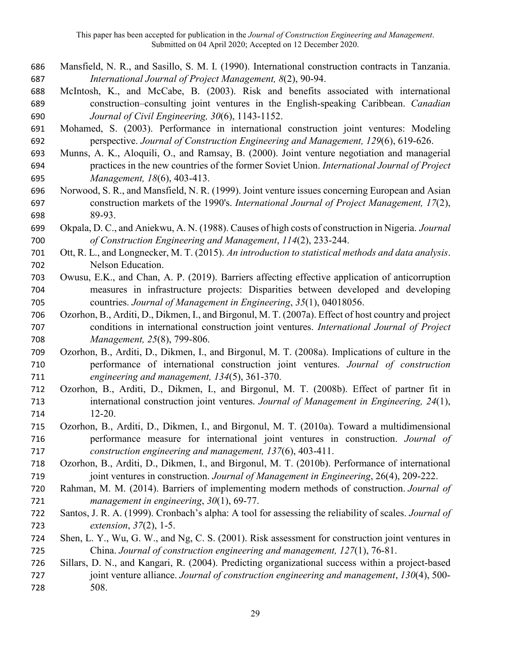- Mansfield, N. R., and Sasillo, S. M. I. (1990). International construction contracts in Tanzania. *International Journal of Project Management, 8*(2), 90-94.
- McIntosh, K., and McCabe, B. (2003). Risk and benefits associated with international construction–consulting joint ventures in the English-speaking Caribbean. *Canadian Journal of Civil Engineering, 30*(6), 1143-1152.
- Mohamed, S. (2003). Performance in international construction joint ventures: Modeling perspective. *Journal of Construction Engineering and Management, 129*(6), 619-626.
- Munns, A. K., Aloquili, O., and Ramsay, B. (2000). Joint venture negotiation and managerial practices in the new countries of the former Soviet Union. *International Journal of Project Management, 18*(6), 403-413.
- Norwood, S. R., and Mansfield, N. R. (1999). Joint venture issues concerning European and Asian construction markets of the 1990's. *International Journal of Project Management, 17*(2), 89-93.
- Okpala, D. C., and Aniekwu, A. N. (1988). Causes of high costs of construction in Nigeria. *Journal of Construction Engineering and Management*, *114*(2), 233-244.
- Ott, R. L., and Longnecker, M. T. (2015). *An introduction to statistical methods and data analysis*. Nelson Education.
- Owusu, E.K., and Chan, A. P. (2019). Barriers affecting effective application of anticorruption measures in infrastructure projects: Disparities between developed and developing countries. *Journal of Management in Engineering*, *35*(1), 04018056.
- Ozorhon, B., Arditi, D., Dikmen, I., and Birgonul, M. T. (2007a). Effect of host country and project conditions in international construction joint ventures. *International Journal of Project Management, 25*(8), 799-806.
- Ozorhon, B., Arditi, D., Dikmen, I., and Birgonul, M. T. (2008a). Implications of culture in the performance of international construction joint ventures. *Journal of construction engineering and management, 134*(5), 361-370.
- Ozorhon, B., Arditi, D., Dikmen, I., and Birgonul, M. T. (2008b). Effect of partner fit in international construction joint ventures. *Journal of Management in Engineering, 24*(1), 12-20.
- Ozorhon, B., Arditi, D., Dikmen, I., and Birgonul, M. T. (2010a). Toward a multidimensional performance measure for international joint ventures in construction. *Journal of construction engineering and management, 137*(6), 403-411.
- Ozorhon, B., Arditi, D., Dikmen, I., and Birgonul, M. T. (2010b). Performance of international joint ventures in construction. *Journal of Management in Engineering*, 26(4), 209-222.
- Rahman, M. M. (2014). Barriers of implementing modern methods of construction. *Journal of management in engineering*, *30*(1), 69-77.
- Santos, J. R. A. (1999). Cronbach's alpha: A tool for assessing the reliability of scales. *Journal of extension*, *37*(2), 1-5.
- Shen, L. Y., Wu, G. W., and Ng, C. S. (2001). Risk assessment for construction joint ventures in China. *Journal of construction engineering and management, 127*(1), 76-81.
- Sillars, D. N., and Kangari, R. (2004). Predicting organizational success within a project-based joint venture alliance. *Journal of construction engineering and management*, *130*(4), 500- 508.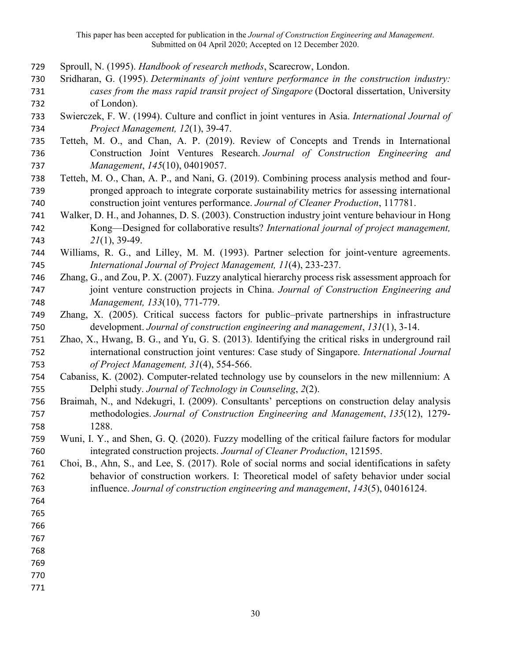- Sproull, N. (1995). *Handbook of research methods*, Scarecrow, London.
- Sridharan, G. (1995). *Determinants of joint venture performance in the construction industry: cases from the mass rapid transit project of Singapore* (Doctoral dissertation, University of London).
- Swierczek, F. W. (1994). Culture and conflict in joint ventures in Asia. *International Journal of Project Management, 12*(1), 39-47.
- Tetteh, M. O., and Chan, A. P. (2019). Review of Concepts and Trends in International Construction Joint Ventures Research. *Journal of Construction Engineering and Management*, *145*(10), 04019057.
- Tetteh, M. O., Chan, A. P., and Nani, G. (2019). Combining process analysis method and four- pronged approach to integrate corporate sustainability metrics for assessing international construction joint ventures performance. *Journal of Cleaner Production*, 117781.
- Walker, D. H., and Johannes, D. S. (2003). Construction industry joint venture behaviour in Hong Kong—Designed for collaborative results? *International journal of project management, 21*(1), 39-49.
- Williams, R. G., and Lilley, M. M. (1993). Partner selection for joint-venture agreements. *International Journal of Project Management, 11*(4), 233-237.
- Zhang, G., and Zou, P. X. (2007). Fuzzy analytical hierarchy process risk assessment approach for joint venture construction projects in China. *Journal of Construction Engineering and Management, 133*(10), 771-779.
- Zhang, X. (2005). Critical success factors for public–private partnerships in infrastructure development. *Journal of construction engineering and management*, *131*(1), 3-14.
- Zhao, X., Hwang, B. G., and Yu, G. S. (2013). Identifying the critical risks in underground rail international construction joint ventures: Case study of Singapore. *International Journal of Project Management, 31*(4), 554-566.
- Cabaniss, K. (2002). Computer-related technology use by counselors in the new millennium: A Delphi study. *Journal of Technology in Counseling*, *2*(2).
- Braimah, N., and Ndekugri, I. (2009). Consultants' perceptions on construction delay analysis methodologies. *Journal of Construction Engineering and Management*, *135*(12), 1279- 1288.
- Wuni, I. Y., and Shen, G. Q. (2020). Fuzzy modelling of the critical failure factors for modular integrated construction projects. *Journal of Cleaner Production*, 121595.
- Choi, B., Ahn, S., and Lee, S. (2017). Role of social norms and social identifications in safety behavior of construction workers. I: Theoretical model of safety behavior under social influence. *Journal of construction engineering and management*, *143*(5), 04016124.

- 
-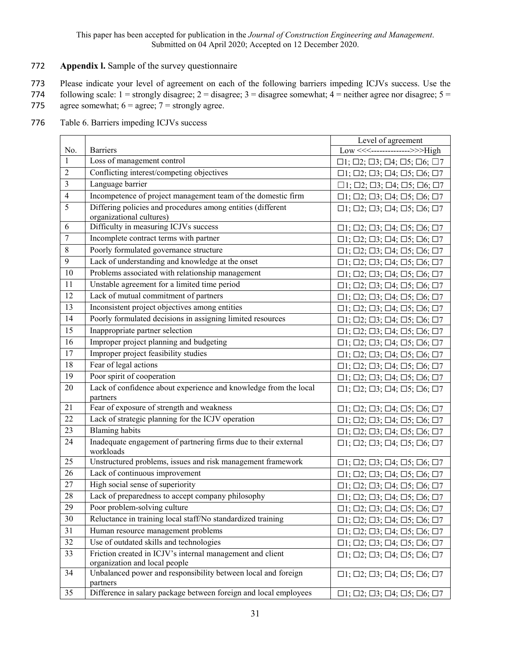## 772 **Appendix l.** Sample of the survey questionnaire

773 Please indicate your level of agreement on each of the following barriers impeding ICJVs success. Use the

774 following scale:  $1 =$  strongly disagree;  $2 =$  disagree;  $3 =$  disagree somewhat;  $4 =$  neither agree nor disagree;  $5 =$ 775 agree somewhat;  $6 = \text{agree}$ ;  $7 = \text{strongly agree}$ .

- No. Barriers Level of agreement Low <<<-------------->>>High  $1$  Loss of management control  $\Box$ 1;  $\Box$ 2;  $\Box$ 3;  $\Box$ 4;  $\Box$ 5;  $\Box$ 6;  $\Box$ 7 2 Conflicting interest/competing objectives <br>
11; □2; □3; □4; □5; □6; □7<br>
11: □2: □3: □4: □5: □6: □7 3 Language barrier  $\Box$ 1;  $\Box$ 2;  $\Box$ 3;  $\Box$ 4;  $\Box$ 5;  $\Box$ 6;  $\Box$ 7 4 Incompetence of project management team of the domestic firm  $\Box$ 1;  $\Box$ 2;  $\Box$ 3;  $\Box$ 4;  $\Box$ 5;  $\Box$ 6;  $\Box$ 7<br>5 Differing policies and procedures among entities (different  $\Box$ 1:  $\Box$ ?:  $\Box$ 3:  $\Box$ 4:  $\Box$ 5:  $\Box$ 6:  $\Box$ 7 5 Differing policies and procedures among entities (different organizational cultures) ☐1; ☐2; ☐3; ☐4; ☐5; ☐6; ☐7 6 Difficulty in measuring ICJVs success  $\Box$   $\Box$ ;  $\Box$ 2;  $\Box$ 3;  $\Box$ 4;  $\Box$ 5;  $\Box$ 6;  $\Box$ 7<br>7 Incomplete contract terms with partner  $\Box$  :  $\Box$  2:  $\Box$ 3:  $\Box$ 4:  $\Box$  5:  $\Box$  6:  $\Box$  7 The Solution of The Contract terms with partner<br>
7 Incomplete contract terms with partner<br>
8 Poorly formulated governance structure<br>
11: □2: □3: □4: □5: □6: □7 8 Poorly formulated governance structure  $\Box$ 1;  $\Box$ 2;  $\Box$ 3;  $\Box$ 4;  $\Box$ 5;  $\Box$ 6;  $\Box$ 7<br>9 Lack of understanding and knowledge at the onset  $\Box$ 1:  $\Box$ 2:  $\Box$ 3:  $\Box$ 4:  $\Box$ 5:  $\Box$ 6:  $\Box$ 7 9 Lack of understanding and knowledge at the onset  $\Box$ 1;  $\Box$ 2;  $\Box$ 3;  $\Box$ 4;  $\Box$ 5;  $\Box$ 6;  $\Box$ 7<br>10 Problems associated with relationship management  $\Box$ 1:  $\Box$ 2:  $\Box$ 3:  $\Box$ 4:  $\Box$ 5:  $\Box$ 6:  $\Box$ 7 10 Problems associated with relationship management <br>
11 Unstable agreement for a limited time period <br>
11 Unstable agreement for a limited time period <br>
11 □2; □3; □4; □5; □6; □7 Unstable agreement for a limited time period  $\Box$ 1;  $\Box$ 2;  $\Box$ 3;  $\Box$ 4;  $\Box$ 5;  $\Box$ 6;  $\Box$ 7 12 Lack of mutual commitment of partners <br>
13 Inconsistent project objectives among entities <br>
11: □2: □3: □4: □5: □6: □7<br>
11: □2: □3: □4: □5: □6: □7 13 Inconsistent project objectives among entities <br>
14 Poorly formulated decisions in assigning limited resources <br>
11: □2: □3: □4: □5: □6: □7 14 Poorly formulated decisions in assigning limited resources □1; □2; □3; □4; □5; □6; □7<br>15 Inappropriate partner selection □1: □2: □3: □4: □5: □6: □7 15 Inappropriate partner selection  $\Box$ 1;  $\Box$ 2;  $\Box$ 3;  $\Box$ 4;  $\Box$ 5;  $\Box$ 6;  $\Box$ 7<br>16 Improper project planning and budgeting  $\Box$ 1:  $\Box$ ?  $\Box$ 3:  $\Box$ 4:  $\Box$ 5:  $\Box$ 6:  $\Box$ 7 16 Improper project planning and budgeting<br>
17 Improper project feasibility studies<br>
□1: □2: □3: □4: □5: □6: □7<br>
□1: □2: □3: □4: □5: □6: □7 17 Improper project feasibility studies ☐1; ☐2; ☐3; ☐4; ☐5; ☐6; ☐7  $\Box$ 1;  $\Box$ 2;  $\Box$ 3;  $\Box$ 4;  $\Box$ 5;  $\Box$ 6;  $\Box$ 7 19 Poor spirit of cooperation<br>
20 Lack of confidence about experience and knowledge from the local  $\Box$ 1;  $\Box$ 2;  $\Box$ 3;  $\Box$ 4;  $\Box$ 5;  $\Box$ 6;  $\Box$ 7<br>
71.  $\Box$ 2.  $\Box$ 4:  $\Box$ 5.  $\Box$ 6.  $\Box$ 7 Lack of confidence about experience and knowledge from the local partners  $\Box$ 1;  $\Box$ 2;  $\Box$ 3;  $\Box$ 4;  $\Box$ 5;  $\Box$ 6;  $\Box$ 7 21 Fear of exposure of strength and weakness  $\Box$ 1;  $\Box$ 2;  $\Box$ 3;  $\Box$ 4;  $\Box$ 5;  $\Box$ 6;  $\Box$ 7<br>22 Lack of strategic planning for the ICJV operation  $\Box$ 1:  $\Box$ ?:  $\Box$ 3:  $\Box$ 4:  $\Box$ 5:  $\Box$ 6:  $\Box$ 7 22 Lack of strategic planning for the ICJV operation  $\Box$ 1;  $\Box$ 2;  $\Box$ 3;  $\Box$ 4;  $\Box$ 5;  $\Box$ 6;  $\Box$ 7<br>23 Blaming habits  $\Box$ 1:  $\Box$ 2:  $\Box$ 3:  $\Box$ 4:  $\Box$ 5:  $\Box$ 6:  $\Box$ 7 23 Blaming habits  $\Box$ 1;  $\Box$ 2;  $\Box$ 3;  $\Box$ 4;  $\Box$ 5;  $\Box$ 6;  $\Box$ 7<br>24 Inadequate engagement of partnering firms due to their external  $\Box$ 1:  $\Box$ 2:  $\Box$ 3:  $\Box$ 4:  $\Box$ 5:  $\Box$ 6:  $\Box$ 7 Inadequate engagement of partnering firms due to their external workloads ☐1; ☐2; ☐3; ☐4; ☐5; ☐6; ☐7 25 Unstructured problems, issues and risk management framework  $\Box$ 1;  $\Box$ 2;  $\Box$ 3;  $\Box$ 4;  $\Box$ 5;  $\Box$ 6;  $\Box$ 7<br>26 Lack of continuous improvement  $\Box$ 1:  $\Box$ 2:  $\Box$ 3:  $\Box$ 4:  $\Box$ 5:  $\Box$ 6:  $\Box$ 7  $\Box$ 1;  $\Box$ 2;  $\Box$ 3;  $\Box$ 4;  $\Box$ 5;  $\Box$ 6;  $\Box$ 7 27 High social sense of superiority  $\Box$ 1;  $\Box$ 2;  $\Box$ 3;  $\Box$ 4;  $\Box$ 5;  $\Box$ 6;  $\Box$ 7<br>28 Lack of preparedness to accept company philosophy  $\Box$ 1:  $\Box$ 2:  $\Box$ 3:  $\Box$ 4:  $\Box$ 5:  $\Box$ 6:  $\Box$ 7 28 Lack of preparedness to accept company philosophy □1; □2; □3; □4; □5; □6; □7<br>29 Poor problem-solving culture □1: □2: □3: □4: □5: □6: □7 29 Poor problem-solving culture<br>  $29$  Poor problem-solving culture<br>  $1; \Box 2; \Box 3; \Box 4; \Box 5; \Box 6; \Box 7$ <br>  $1; \Box 2; \Box 3; \Box 4; \Box 5; \Box 6; \Box 7$ 30 Reluctance in training local staff/No standardized training <br>31 Human resource management problems <br> $\Box$ 1;  $\Box$ 2;  $\Box$ 3;  $\Box$ 4;  $\Box$ 5;  $\Box$ 6;  $\Box$ 7<br> $\Box$ 1;  $\Box$ 2;  $\Box$ 3;  $\Box$ 4;  $\Box$ 5;  $\Box$ 6;  $\Box$ 7 Human resource management problems  $\Box$ 1;  $\Box$ 2;  $\Box$ 3;  $\Box$ 4;  $\Box$ 5;  $\Box$ 6;  $\Box$ 7 32 Use of outdated skills and technologies  $\Box$ 1;  $\Box$ 2;  $\Box$ 3;  $\Box$ 4;  $\Box$ 5;  $\Box$ 6;  $\Box$ 7<br>33 Friction created in ICJV's internal management and client  $\Box$ 1:  $\Box$ 2:  $\Box$ 3:  $\Box$ 4:  $\Box$ 5:  $\Box$ 6:  $\Box$ 7 Friction created in ICJV's internal management and client organization and local people ☐1; ☐2; ☐3; ☐4; ☐5; ☐6; ☐7 34 Unbalanced power and responsibility between local and foreign partners  $\Box$ 1;  $\Box$ 2;  $\Box$ 3;  $\Box$ 4;  $\Box$ 5;  $\Box$ 6;  $\Box$ 7 35 Difference in salary package between foreign and local employees □1; □2; □3; □4; □5; □6; □7
- 776 Table 6. Barriers impeding ICJVs success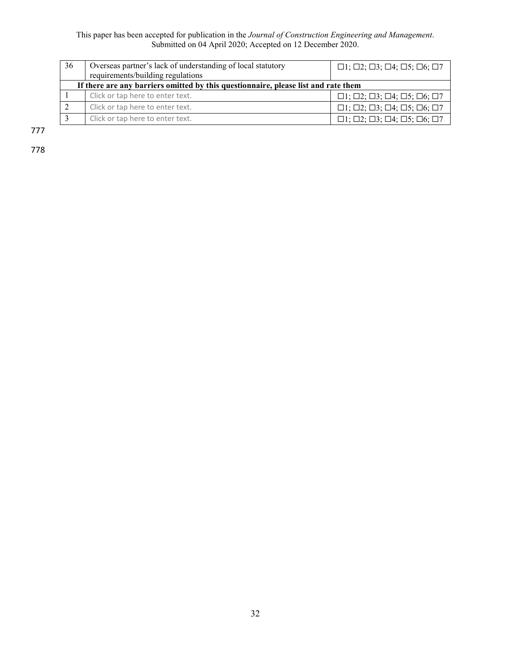| 36 | Overseas partner's lack of understanding of local statutory<br>requirements/building regulations | $\Box 1; \Box 2; \Box 3; \Box 4; \Box 5; \Box 6; \Box 7$             |  |  |  |  |  |  |  |  |
|----|--------------------------------------------------------------------------------------------------|----------------------------------------------------------------------|--|--|--|--|--|--|--|--|
|    | If there are any barriers omitted by this questionnaire, please list and rate them               |                                                                      |  |  |  |  |  |  |  |  |
|    | Click or tap here to enter text.                                                                 | $\Box$ 1; $\Box$ 2; $\Box$ 3; $\Box$ 4; $\Box$ 5; $\Box$ 6; $\Box$ 7 |  |  |  |  |  |  |  |  |
|    | Click or tap here to enter text.                                                                 | $\Box$ 1; $\Box$ 2; $\Box$ 3; $\Box$ 4; $\Box$ 5; $\Box$ 6; $\Box$ 7 |  |  |  |  |  |  |  |  |
|    | Click or tap here to enter text.                                                                 | $\Box$ 1; $\Box$ 2; $\Box$ 3; $\Box$ 4; $\Box$ 5; $\Box$ 6; $\Box$ 7 |  |  |  |  |  |  |  |  |

777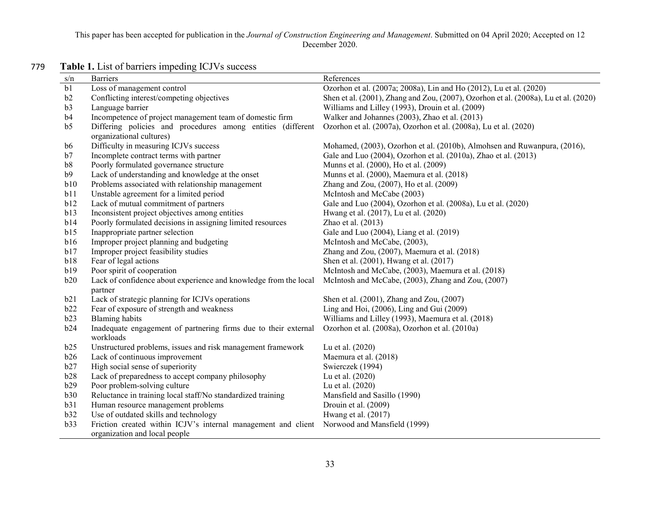| s/n            | <b>Barriers</b>                                                                                | References                                                                          |
|----------------|------------------------------------------------------------------------------------------------|-------------------------------------------------------------------------------------|
| b1             | Loss of management control                                                                     | Ozorhon et al. (2007a; 2008a), Lin and Ho (2012), Lu et al. (2020)                  |
| b2             | Conflicting interest/competing objectives                                                      | Shen et al. (2001), Zhang and Zou, (2007), Ozorhon et al. (2008a), Lu et al. (2020) |
| b3             | Language barrier                                                                               | Williams and Lilley (1993), Drouin et al. (2009)                                    |
| b4             | Incompetence of project management team of domestic firm                                       | Walker and Johannes (2003), Zhao et al. (2013)                                      |
| b <sub>5</sub> | Differing policies and procedures among entities (different<br>organizational cultures)        | Ozorhon et al. (2007a), Ozorhon et al. (2008a), Lu et al. (2020)                    |
| b6             | Difficulty in measuring ICJVs success                                                          | Mohamed, (2003), Ozorhon et al. (2010b), Almohsen and Ruwanpura, (2016),            |
| b7             | Incomplete contract terms with partner                                                         | Gale and Luo (2004), Ozorhon et al. (2010a), Zhao et al. (2013)                     |
| b8             | Poorly formulated governance structure                                                         | Munns et al. (2000), Ho et al. (2009)                                               |
| b9             | Lack of understanding and knowledge at the onset                                               | Munns et al. (2000), Maemura et al. (2018)                                          |
| b10            | Problems associated with relationship management                                               | Zhang and Zou, (2007), Ho et al. (2009)                                             |
| b11            | Unstable agreement for a limited period                                                        | McIntosh and McCabe (2003)                                                          |
| b12            | Lack of mutual commitment of partners                                                          | Gale and Luo (2004), Ozorhon et al. (2008a), Lu et al. (2020)                       |
| b13            | Inconsistent project objectives among entities                                                 | Hwang et al. (2017), Lu et al. (2020)                                               |
| b14            | Poorly formulated decisions in assigning limited resources                                     | Zhao et al. (2013)                                                                  |
| b15            | Inappropriate partner selection                                                                | Gale and Luo (2004), Liang et al. (2019)                                            |
| b16            | Improper project planning and budgeting                                                        | McIntosh and McCabe, (2003),                                                        |
| b17            | Improper project feasibility studies                                                           | Zhang and Zou, (2007), Maemura et al. (2018)                                        |
| b18            | Fear of legal actions                                                                          | Shen et al. (2001), Hwang et al. (2017)                                             |
| b19            | Poor spirit of cooperation                                                                     | McIntosh and McCabe, (2003), Maemura et al. (2018)                                  |
| b20            | Lack of confidence about experience and knowledge from the local<br>partner                    | McIntosh and McCabe, (2003), Zhang and Zou, (2007)                                  |
| b21            | Lack of strategic planning for ICJVs operations                                                | Shen et al. (2001), Zhang and Zou, (2007)                                           |
| b22            | Fear of exposure of strength and weakness                                                      | Ling and Hoi, (2006), Ling and Gui (2009)                                           |
| b23            | <b>Blaming</b> habits                                                                          | Williams and Lilley (1993), Maemura et al. (2018)                                   |
| b24            | Inadequate engagement of partnering firms due to their external<br>workloads                   | Ozorhon et al. (2008a), Ozorhon et al. (2010a)                                      |
| b25            | Unstructured problems, issues and risk management framework                                    | Lu et al. (2020)                                                                    |
| b26            | Lack of continuous improvement                                                                 | Maemura et al. (2018)                                                               |
| b27            | High social sense of superiority                                                               | Swierczek (1994)                                                                    |
| b28            | Lack of preparedness to accept company philosophy                                              | Lu et al. (2020)                                                                    |
| b29            | Poor problem-solving culture                                                                   | Lu et al. (2020)                                                                    |
| b30            | Reluctance in training local staff/No standardized training                                    | Mansfield and Sasillo (1990)                                                        |
| b31            | Human resource management problems                                                             | Drouin et al. (2009)                                                                |
| b32            | Use of outdated skills and technology                                                          | Hwang et al. (2017)                                                                 |
| b33            | Friction created within ICJV's internal management and client<br>organization and local people | Norwood and Mansfield (1999)                                                        |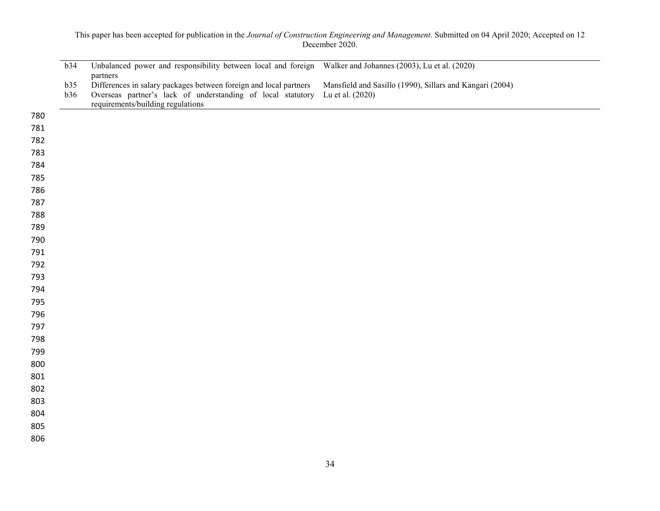|            | b34 | Unbalanced power and responsibility between local and foreign Walker and Johannes (2003), Lu et al. (2020) |                                                          |
|------------|-----|------------------------------------------------------------------------------------------------------------|----------------------------------------------------------|
|            | b35 | partners<br>Differences in salary packages between foreign and local partners                              | Mansfield and Sasillo (1990), Sillars and Kangari (2004) |
|            | b36 | Overseas partner's lack of understanding of local statutory Lu et al. (2020)                               |                                                          |
|            |     | requirements/building regulations                                                                          |                                                          |
| 780        |     |                                                                                                            |                                                          |
| 781        |     |                                                                                                            |                                                          |
| 782        |     |                                                                                                            |                                                          |
| 783        |     |                                                                                                            |                                                          |
| 784        |     |                                                                                                            |                                                          |
| 785<br>786 |     |                                                                                                            |                                                          |
| 787        |     |                                                                                                            |                                                          |
| 788        |     |                                                                                                            |                                                          |
| 789        |     |                                                                                                            |                                                          |
| 790        |     |                                                                                                            |                                                          |
| 791        |     |                                                                                                            |                                                          |
| 792        |     |                                                                                                            |                                                          |
| 793        |     |                                                                                                            |                                                          |
| 794        |     |                                                                                                            |                                                          |
| 795        |     |                                                                                                            |                                                          |
| 796        |     |                                                                                                            |                                                          |
| 797        |     |                                                                                                            |                                                          |
| 798        |     |                                                                                                            |                                                          |
| 799        |     |                                                                                                            |                                                          |
| 800        |     |                                                                                                            |                                                          |
| 801        |     |                                                                                                            |                                                          |
| 802        |     |                                                                                                            |                                                          |
| 803        |     |                                                                                                            |                                                          |
| 804        |     |                                                                                                            |                                                          |
| 805        |     |                                                                                                            |                                                          |
| 806        |     |                                                                                                            |                                                          |
|            |     |                                                                                                            |                                                          |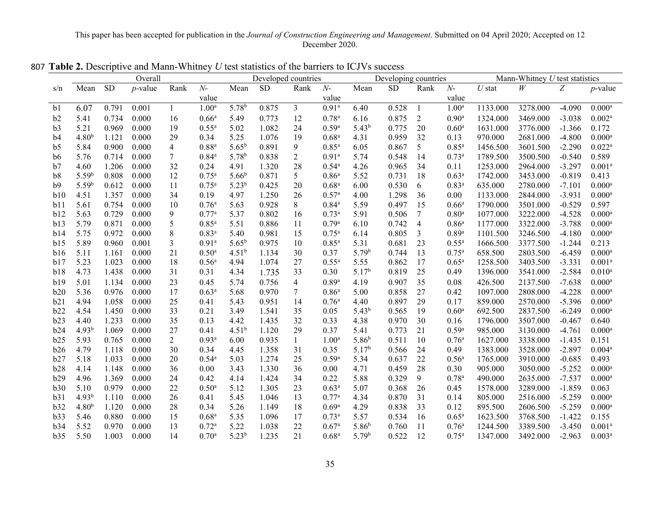|                |                   |           | Overall    |                |                   |                   | Developed countries |                  |                   |                   | Developing countries |                |                     |                   | Mann-Whitney $U$ test statistics |          |                      |
|----------------|-------------------|-----------|------------|----------------|-------------------|-------------------|---------------------|------------------|-------------------|-------------------|----------------------|----------------|---------------------|-------------------|----------------------------------|----------|----------------------|
| s/n            | Mean              | <b>SD</b> | $p$ -value | Rank           | $N-$              | Mean              | <b>SD</b>           | Rank             | $N-$              | Mean              | SD                   | Rank           | $N-$                | $\mathcal U$ stat | $\ensuremath{W}$                 | Z        | $p$ -value           |
|                |                   |           |            |                | value             |                   |                     |                  | value             |                   |                      |                | value               |                   |                                  |          |                      |
| b <sub>1</sub> | 6.07              | 0.791     | 0.001      | 1              | 1.00 <sup>a</sup> | 5.78 <sup>b</sup> | 0.875               | $\mathfrak{Z}$   | $0.91^{\rm a}$    | 6.40              | 0.528                | -1             | 1.00 <sup>a</sup>   | 1133.000          | 3278.000                         | $-4.090$ | $0.000$ <sup>a</sup> |
| b2             | 5.41              | 0.734     | 0.000      | 16             | 0.66 <sup>a</sup> | 5.49              | 0.773               | 12               | $0.78^{a}$        | 6.16              | 0.875                | $\overline{2}$ | 0.90 <sup>a</sup>   | 1324.000          | 3469.000                         | $-3.038$ | $0.002^a$            |
| b3             | 5.21              | 0.969     | 0.000      | 19             | $0.55^{\rm a}$    | 5.02              | 1.082               | 24               | $0.59^{a}$        | $5.43^{b}$        | 0.775                | 20             | 0.60 <sup>a</sup>   | 1631.000          | 3776.000                         | $-1.366$ | 0.172                |
| b4             | 4.80 <sup>b</sup> | 1.121     | 0.000      | 29             | 0.34              | 5.25              | 1.076               | 19               | 0.68 <sup>a</sup> | 4.31              | 0.959                | 32             | 0.13                | 970.000           | 2681.000                         | $-4.800$ | $0.000$ <sup>a</sup> |
| b <sub>5</sub> | 5.84              | 0.900     | 0.000      | $\overline{4}$ | $0.88^{a}$        | $5.65^{b}$        | 0.891               | 9                | $0.85^{a}$        | 6.05              | 0.867                | 5              | $0.85$ <sup>a</sup> | 1456.500          | 3601.500                         | $-2.290$ | $0.022^{\rm a}$      |
| b6             | 5.76              | 0.714     | 0.000      | $\tau$         | $0.84^{a}$        | 5.78 <sup>b</sup> | 0.838               | $\overline{2}$   | 0.91 <sup>a</sup> | 5.74              | 0.548                | 14             | $0.73^{a}$          | 1789.500          | 3500.500                         | $-0.540$ | 0.589                |
| b7             | 4.60              | 1.206     | 0.000      | 32             | 0.24              | 4.91              | 1.320               | 28               | $0.54^{\rm a}$    | 4.26              | 0.965                | 34             | 0.11                | 1253.000          | 2964.000                         | $-3.297$ | 0.001 <sup>a</sup>   |
| b8             | 5.59 <sup>b</sup> | 0.808     | 0.000      | 12             | $0.75^{\rm a}$    | $5.66^{b}$        | 0.871               | $5\overline{)}$  | 0.86 <sup>a</sup> | 5.52              | 0.731                | 18             | 0.63 <sup>a</sup>   | 1742.000          | 3453.000                         | $-0.819$ | 0.413                |
| b9             | 5.59 <sup>b</sup> | 0.612     | 0.000      | 11             | $0.75^{\rm a}$    | $5.23^{b}$        | 0.425               | 20               | 0.68 <sup>a</sup> | 6.00              | 0.530                | 6              | $0.83$ <sup>a</sup> | 635.000           | 2780.000                         | $-7.101$ | $0.000$ <sup>a</sup> |
| b10            | 4.51              | 1.357     | 0.000      | 34             | 0.19              | 4.97              | 1.250               | 26               | $0.57^{a}$        | 4.00              | 1.298                | 36             | $0.00\,$            | 1133.000          | 2844.000                         | $-3.931$ | $0.000$ <sup>a</sup> |
| b11            | 5.61              | 0.754     | 0.000      | 10             | 0.76 <sup>a</sup> | 5.63              | 0.928               | $8\,$            | $0.84^{a}$        | 5.59              | 0.497                | 15             | 0.66 <sup>a</sup>   | 1790.000          | 3501.000                         | $-0.529$ | 0.597                |
| b12            | 5.63              | 0.729     | 0.000      | 9              | 0.77a             | 5.37              | 0.802               | 16               | $0.73^{a}$        | 5.91              | 0.506                | $\tau$         | $0.80$ <sup>a</sup> | 1077.000          | 3222.000                         | $-4.528$ | $0.000$ <sup>a</sup> |
| b13            | 5.79              | 0.871     | 0.000      | 5              | $0.85^{a}$        | 5.51              | 0.886               | 11               | 0.79a             | 6.10              | 0.742                | $\overline{4}$ | 0.86 <sup>a</sup>   | 1177.000          | 3322.000                         | $-3.788$ | $0.000^{\rm a}$      |
| b14            | 5.75              | 0.972     | 0.000      | $\,$ $\,$      | $0.83^{a}$        | 5.40              | 0.981               | 15               | $0.75^{\rm a}$    | 6.14              | 0.805                | $\mathfrak{Z}$ | $0.89$ <sup>a</sup> | 1101.500          | 3246.500                         | $-4.180$ | $0.000$ <sup>a</sup> |
| b15            | 5.89              | 0.960     | 0.001      | 3              | 0.91 <sup>a</sup> | $5.65^{b}$        | 0.975               | 10               | $0.85^{a}$        | 5.31              | 0.681                | 23             | $0.55$ <sup>a</sup> | 1666.500          | 3377.500                         | $-1.244$ | 0.213                |
| b16            | 5.11              | 1.161     | 0.000      | 21             | $0.50^{\rm a}$    | $4.51^{b}$        | 1.134               | 30               | 0.37              | 5.79 <sup>b</sup> | 0.744                | 13             | $0.75^{\rm a}$      | 658.500           | 2803.500                         | $-6.459$ | $0.000^{\rm a}$      |
| b17            | 5.23              | 1.023     | 0.000      | 18             | 0.56 <sup>a</sup> | 4.94              | 1.074               | 27               | $0.55^{a}$        | 5.55              | 0.862                | 17             | 0.65 <sup>a</sup>   | 1258.500          | 3403.500                         | $-3.331$ | 0.001 <sup>a</sup>   |
| b18            | 4.73              | 1.438     | 0.000      | 31             | 0.31              | 4.34              | 1.735               | 33               | 0.30              | 5.17 <sup>b</sup> | 0.819                | 25             | 0.49                | 1396.000          | 3541.000                         | $-2.584$ | $0.010^{a}$          |
| b19            | 5.01              | 1.134     | 0.000      | 23             | 0.45              | 5.74              | 0.756               | $\overline{4}$   | $0.89^{a}$        | 4.19              | 0.907                | 35             | 0.08                | 426.500           | 2137.500                         | $-7.638$ | $0.000^{\rm a}$      |
| b20            | 5.36              | 0.976     | 0.000      | 17             | 0.63 <sup>a</sup> | 5.68              | 0.970               | $\boldsymbol{7}$ | 0.86 <sup>a</sup> | 5.00              | 0.858                | 27             | 0.42                | 1097.000          | 2808.000                         | $-4.228$ | $0.000$ <sup>a</sup> |
| b21            | 4.94              | 1.058     | 0.000      | 25             | 0.41              | 5.43              | 0.951               | 14               | 0.76 <sup>a</sup> | 4.40              | 0.897                | 29             | 0.17                | 859.000           | 2570.000                         | $-5.396$ | $0.000$ <sup>a</sup> |
| b22            | 4.54              | 1.450     | 0.000      | 33             | 0.21              | 3.49              | 1.541               | 35               | 0.05              | $5.43^{b}$        | 0.565                | 19             | 0.60 <sup>a</sup>   | 692.500           | 2837.500                         | $-6.249$ | $0.000$ <sup>a</sup> |
| b23            | 4.40              | 1.233     | 0.000      | 35             | 0.13              | 4.42              | 1.435               | 32               | 0.33              | 4.38              | 0.970                | 30             | 0.16                | 1796.000          | 3507.000                         | $-0.467$ | 0.640                |
| b24            | 4.93 <sup>b</sup> | 1.069     | 0.000      | 27             | 0.41              | 4.51 <sup>b</sup> | 1.120               | 29               | 0.37              | 5.41              | 0.773                | 21             | 0.59a               | 985.000           | 3130.000                         | $-4.761$ | $0.000$ <sup>a</sup> |
| b25            | 5.93              | 0.765     | 0.000      | $\overline{2}$ | $0.93^{a}$        | 6.00              | 0.935               | $\mathbf{1}$     | 1.00 <sup>a</sup> | $5.86^{b}$        | 0.511                | 10             | $0.76^{\rm a}$      | 1627.000          | 3338.000                         | $-1.435$ | 0.151                |
| b26            | 4.79              | 1.118     | 0.000      | 30             | 0.34              | 4.45              | 1.358               | 31               | 0.35              | 5.17 <sup>b</sup> | 0.566                | 24             | 0.49                | 1383.000          | 3528.000                         | $-2.897$ | 0.004a               |
| b27            | 5.18              | 1.033     | 0.000      | $20\,$         | $0.54^{\circ}$    | 5.03              | 1.274               | 25               | 0.59a             | 5.34              | 0.637                | 22             | 0.56 <sup>a</sup>   | 1765.000          | 3910.000                         | $-0.685$ | 0.493                |
| b28            | 4.14              | 1.148     | 0.000      | 36             | $0.00\,$          | 3.43              | 1.330               | 36               | $0.00\,$          | 4.71              | 0.459                | 28             | 0.30                | 905.000           | 3050.000                         | $-5.252$ | $0.000$ <sup>a</sup> |
| b29            | 4.96              | 1.369     | 0.000      | 24             | 0.42              | 4.14              | 1.424               | 34               | 0.22              | 5.88              | 0.329                | 9              | $0.78^{a}$          | 490.000           | 2635.000                         | $-7.537$ | $0.000$ <sup>a</sup> |
| b30            | 5.10              | 0.979     | 0.000      | 22             | 0.50 <sup>a</sup> | 5.12              | 1.305               | 23               | 0.63 <sup>a</sup> | 5.07              | 0.368                | 26             | 0.45                | 1578.000          | 3289.000                         | $-1.859$ | 0.063                |
| b31            | $4.93^{b}$        | 1.110     | 0.000      | 26             | 0.41              | 5.45              | 1.046               | 13               | $0.77^{\rm a}$    | 4.34              | 0.870                | 31             | 0.14                | 805.000           | 2516.000                         | $-5.259$ | $0.000^{\rm a}$      |
| b32            | 4.80 <sup>b</sup> | 1.120     | 0.000      | 28             | 0.34              | 5.26              | 1.149               | 18               | 0.69 <sup>a</sup> | 4.29              | 0.838                | 33             | 0.12                | 895.500           | 2606.500                         | $-5.259$ | $0.000$ <sup>a</sup> |
| b33            | 5.46              | 0.880     | 0.000      | 15             | 0.68 <sup>a</sup> | 5.35              | 1.096               | 17               | $0.73^{a}$        | 5.57              | 0.534                | 16             | $0.65^{\rm a}$      | 1623.500          | 3768.500                         | $-1.422$ | 0.155                |
| b34            | 5.52              | 0.970     | 0.000      | 13             | 0.72 <sup>a</sup> | 5.22              | 1.038               | 22               | 0.67 <sup>a</sup> | $5.86^{b}$        | 0.760                | 11             | 0.76 <sup>a</sup>   | 1244.500          | 3389.500                         | $-3.450$ | $0.001^{a}$          |
| b35            | 5.50              | 1.003     | 0.000      | 14             | $0.70^{\rm a}$    | $5.23^{b}$        | 1.235               | 21               | 0.68 <sup>a</sup> | 5.79 <sup>b</sup> | 0.522                | 12             | $0.75^{\rm a}$      | 1347.000          | 3492.000                         | $-2.963$ | $0.003^{a}$          |

807 **Table 2.** Descriptive and Mann-Whitney *U* test statistics of the barriers to ICJVs success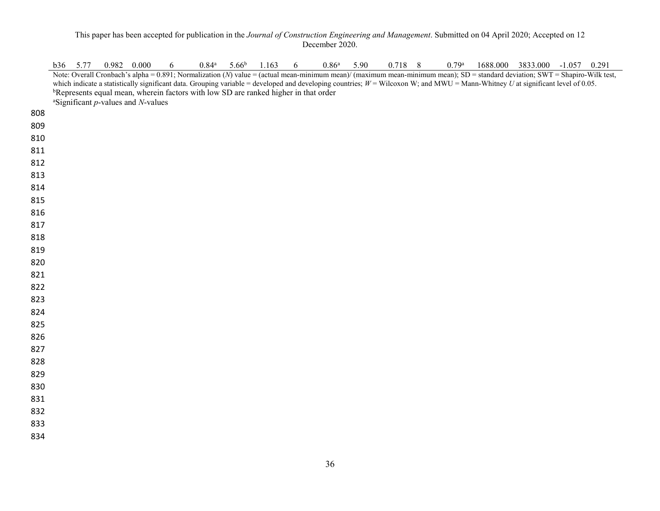|            | b36 5.77 | $0.982$ 0.000 |                                                      | 6 | $0.84$ <sup>a</sup>                                                                             | $5.66^{\rm b}$ | 1.163 | 6 | 0.86 <sup>a</sup> | 5.90 | 0.718 8 | $0.79$ <sup>a</sup> |                                                                                                                                                                                                                                                                                                                                                                   | 1688.000 3833.000 -1.057 0.291 |  |
|------------|----------|---------------|------------------------------------------------------|---|-------------------------------------------------------------------------------------------------|----------------|-------|---|-------------------|------|---------|---------------------|-------------------------------------------------------------------------------------------------------------------------------------------------------------------------------------------------------------------------------------------------------------------------------------------------------------------------------------------------------------------|--------------------------------|--|
|            |          |               |                                                      |   |                                                                                                 |                |       |   |                   |      |         |                     | Note: Overall Cronbach's alpha = 0.891; Normalization (N) value = (actual mean-minimum mean)/ (maximum mean-minimum mean); SD = standard deviation; SWT = Shapiro-Wilk test,<br>which indicate a statistically significant data. Grouping variable = developed and developing countries; $W =$ Wilcoxon W; and MWU = Mann-Whitney U at significant level of 0.05. |                                |  |
|            |          |               |                                                      |   | <sup>b</sup> Represents equal mean, wherein factors with low SD are ranked higher in that order |                |       |   |                   |      |         |                     |                                                                                                                                                                                                                                                                                                                                                                   |                                |  |
|            |          |               | <sup>a</sup> Significant $p$ -values and $N$ -values |   |                                                                                                 |                |       |   |                   |      |         |                     |                                                                                                                                                                                                                                                                                                                                                                   |                                |  |
| 808        |          |               |                                                      |   |                                                                                                 |                |       |   |                   |      |         |                     |                                                                                                                                                                                                                                                                                                                                                                   |                                |  |
| 809        |          |               |                                                      |   |                                                                                                 |                |       |   |                   |      |         |                     |                                                                                                                                                                                                                                                                                                                                                                   |                                |  |
| 810        |          |               |                                                      |   |                                                                                                 |                |       |   |                   |      |         |                     |                                                                                                                                                                                                                                                                                                                                                                   |                                |  |
| 811        |          |               |                                                      |   |                                                                                                 |                |       |   |                   |      |         |                     |                                                                                                                                                                                                                                                                                                                                                                   |                                |  |
| 812        |          |               |                                                      |   |                                                                                                 |                |       |   |                   |      |         |                     |                                                                                                                                                                                                                                                                                                                                                                   |                                |  |
| 813        |          |               |                                                      |   |                                                                                                 |                |       |   |                   |      |         |                     |                                                                                                                                                                                                                                                                                                                                                                   |                                |  |
| 814        |          |               |                                                      |   |                                                                                                 |                |       |   |                   |      |         |                     |                                                                                                                                                                                                                                                                                                                                                                   |                                |  |
| 815        |          |               |                                                      |   |                                                                                                 |                |       |   |                   |      |         |                     |                                                                                                                                                                                                                                                                                                                                                                   |                                |  |
| 816        |          |               |                                                      |   |                                                                                                 |                |       |   |                   |      |         |                     |                                                                                                                                                                                                                                                                                                                                                                   |                                |  |
| 817        |          |               |                                                      |   |                                                                                                 |                |       |   |                   |      |         |                     |                                                                                                                                                                                                                                                                                                                                                                   |                                |  |
| 818        |          |               |                                                      |   |                                                                                                 |                |       |   |                   |      |         |                     |                                                                                                                                                                                                                                                                                                                                                                   |                                |  |
| 819        |          |               |                                                      |   |                                                                                                 |                |       |   |                   |      |         |                     |                                                                                                                                                                                                                                                                                                                                                                   |                                |  |
| 820        |          |               |                                                      |   |                                                                                                 |                |       |   |                   |      |         |                     |                                                                                                                                                                                                                                                                                                                                                                   |                                |  |
| 821        |          |               |                                                      |   |                                                                                                 |                |       |   |                   |      |         |                     |                                                                                                                                                                                                                                                                                                                                                                   |                                |  |
| 822        |          |               |                                                      |   |                                                                                                 |                |       |   |                   |      |         |                     |                                                                                                                                                                                                                                                                                                                                                                   |                                |  |
| 823        |          |               |                                                      |   |                                                                                                 |                |       |   |                   |      |         |                     |                                                                                                                                                                                                                                                                                                                                                                   |                                |  |
| 824        |          |               |                                                      |   |                                                                                                 |                |       |   |                   |      |         |                     |                                                                                                                                                                                                                                                                                                                                                                   |                                |  |
| 825        |          |               |                                                      |   |                                                                                                 |                |       |   |                   |      |         |                     |                                                                                                                                                                                                                                                                                                                                                                   |                                |  |
| 826        |          |               |                                                      |   |                                                                                                 |                |       |   |                   |      |         |                     |                                                                                                                                                                                                                                                                                                                                                                   |                                |  |
| 827        |          |               |                                                      |   |                                                                                                 |                |       |   |                   |      |         |                     |                                                                                                                                                                                                                                                                                                                                                                   |                                |  |
| 828        |          |               |                                                      |   |                                                                                                 |                |       |   |                   |      |         |                     |                                                                                                                                                                                                                                                                                                                                                                   |                                |  |
| 829<br>830 |          |               |                                                      |   |                                                                                                 |                |       |   |                   |      |         |                     |                                                                                                                                                                                                                                                                                                                                                                   |                                |  |
| 831        |          |               |                                                      |   |                                                                                                 |                |       |   |                   |      |         |                     |                                                                                                                                                                                                                                                                                                                                                                   |                                |  |
| 832        |          |               |                                                      |   |                                                                                                 |                |       |   |                   |      |         |                     |                                                                                                                                                                                                                                                                                                                                                                   |                                |  |
| 833        |          |               |                                                      |   |                                                                                                 |                |       |   |                   |      |         |                     |                                                                                                                                                                                                                                                                                                                                                                   |                                |  |
| 834        |          |               |                                                      |   |                                                                                                 |                |       |   |                   |      |         |                     |                                                                                                                                                                                                                                                                                                                                                                   |                                |  |
|            |          |               |                                                      |   |                                                                                                 |                |       |   |                   |      |         |                     |                                                                                                                                                                                                                                                                                                                                                                   |                                |  |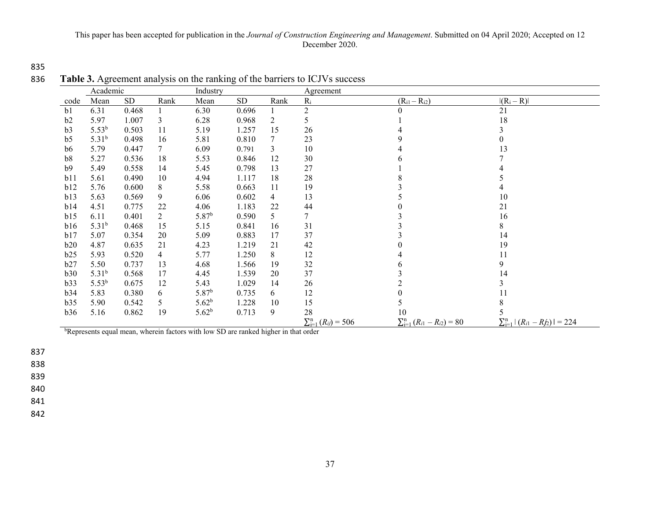835

| 836 | Table 3. Agreement analysis on the ranking of the barriers to ICJVs success |  |  |
|-----|-----------------------------------------------------------------------------|--|--|
|     |                                                                             |  |  |

|                | Academic          |       |      | Industry                                                                                        |       |      | Agreement                       |                                         |                                            |
|----------------|-------------------|-------|------|-------------------------------------------------------------------------------------------------|-------|------|---------------------------------|-----------------------------------------|--------------------------------------------|
| code           | Mean              | SD    | Rank | Mean                                                                                            | SD    | Rank | $R_i$                           | $(R_{i1}-R_{i2})$                       | $ (R_i - R) $                              |
| b1             | 6.31              | 0.468 |      | 6.30                                                                                            | 0.696 |      | $\overline{2}$                  |                                         | 21                                         |
| b2             | 5.97              | 1.007 | 3    | 6.28                                                                                            | 0.968 | 2    | 5                               |                                         | 18                                         |
| b3             | 5.53 <sup>b</sup> | 0.503 | 11   | 5.19                                                                                            | 1.257 | 15   | 26                              |                                         |                                            |
| b <sub>5</sub> | $5.31^{b}$        | 0.498 | 16   | 5.81                                                                                            | 0.810 | 7    | 23                              | 9                                       | 0                                          |
| b6             | 5.79              | 0.447 | 7    | 6.09                                                                                            | 0.791 | 3    | 10                              |                                         | 13                                         |
| b8             | 5.27              | 0.536 | 18   | 5.53                                                                                            | 0.846 | 12   | 30                              |                                         |                                            |
| b9             | 5.49              | 0.558 | 14   | 5.45                                                                                            | 0.798 | 13   | 27                              |                                         |                                            |
| b11            | 5.61              | 0.490 | 10   | 4.94                                                                                            | 1.117 | 18   | 28                              |                                         |                                            |
| b12            | 5.76              | 0.600 | 8    | 5.58                                                                                            | 0.663 | 11   | 19                              |                                         |                                            |
| b13            | 5.63              | 0.569 | 9    | 6.06                                                                                            | 0.602 | 4    | 13                              |                                         | 10                                         |
| b14            | 4.51              | 0.775 | 22   | 4.06                                                                                            | 1.183 | 22   | 44                              |                                         | 21                                         |
| b15            | 6.11              | 0.401 | 2    | 5.87 <sup>b</sup>                                                                               | 0.590 | 5    | 7                               |                                         | 16                                         |
| b16            | 5.31 <sup>b</sup> | 0.468 | 15   | 5.15                                                                                            | 0.841 | 16   | 31                              |                                         | 8                                          |
| b17            | 5.07              | 0.354 | 20   | 5.09                                                                                            | 0.883 | 17   | 37                              |                                         | 14                                         |
| b20            | 4.87              | 0.635 | 21   | 4.23                                                                                            | 1.219 | 21   | 42                              |                                         | 19                                         |
| b25            | 5.93              | 0.520 | 4    | 5.77                                                                                            | 1.250 | 8    | 12                              |                                         | 11                                         |
| b27            | 5.50              | 0.737 | 13   | 4.68                                                                                            | 1.566 | 19   | 32                              | 6                                       | 9                                          |
| b30            | $5.31^{b}$        | 0.568 | 17   | 4.45                                                                                            | 1.539 | 20   | 37                              |                                         | 14                                         |
| b33            | 5.53 <sup>b</sup> | 0.675 | 12   | 5.43                                                                                            | 1.029 | 14   | 26                              |                                         | 3                                          |
| b34            | 5.83              | 0.380 | 6    | 5.87 <sup>b</sup>                                                                               | 0.735 | 6    | 12                              | 0                                       | 11                                         |
| b35            | 5.90              | 0.542 | 5    | 5.62 <sup>b</sup>                                                                               | 1.228 | 10   | 15                              | 5                                       | 8                                          |
| b36            | 5.16              | 0.862 | 19   | $5.62^{b}$                                                                                      | 0.713 | 9    | 28                              | 10                                      |                                            |
|                |                   |       |      |                                                                                                 |       |      | $\sum_{i=1}^{n} (R_{ij}) = 506$ | $\sum_{i=1}^{n} (R_{i1} - R_{i2}) = 80$ | $\sum_{i=1}^{n}  (R_{i1} - R_{i2})  = 224$ |
|                |                   |       |      | <sup>b</sup> Represents equal mean, wherein factors with low SD are ranked higher in that order |       |      |                                 |                                         |                                            |

837

838

839

840

841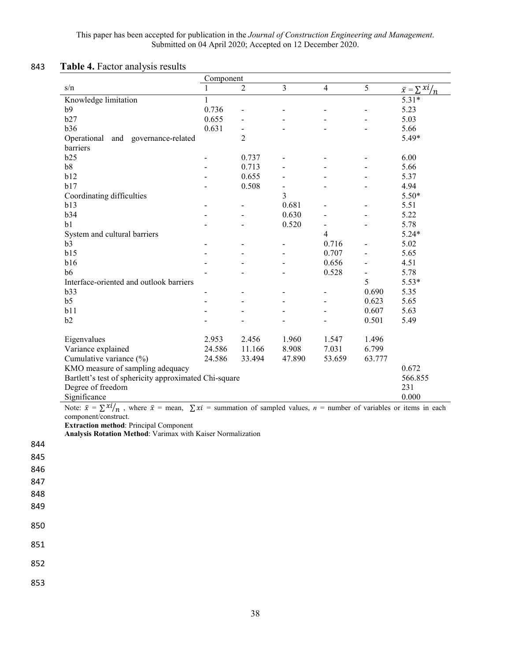# 843 **Table 4.** Factor analysis results

850

851

852

|                                                                                                                                                                                                                        | Component         |                              |                |                          |        |                          |  |  |  |  |  |  |
|------------------------------------------------------------------------------------------------------------------------------------------------------------------------------------------------------------------------|-------------------|------------------------------|----------------|--------------------------|--------|--------------------------|--|--|--|--|--|--|
| s/n                                                                                                                                                                                                                    | 1                 | 2                            | 3              | $\overline{4}$           | 5      | $\bar{x} = \sum x_i / n$ |  |  |  |  |  |  |
| Knowledge limitation                                                                                                                                                                                                   | $\mathbf{1}$      |                              |                |                          |        | $5.31*$                  |  |  |  |  |  |  |
| b9                                                                                                                                                                                                                     | 0.736             |                              |                |                          |        | 5.23                     |  |  |  |  |  |  |
| b27                                                                                                                                                                                                                    | 0.655             |                              |                |                          |        | 5.03                     |  |  |  |  |  |  |
| b36                                                                                                                                                                                                                    | 0.631             | $\qquad \qquad \blacksquare$ |                |                          |        | 5.66                     |  |  |  |  |  |  |
| Operational<br>and governance-related                                                                                                                                                                                  |                   | $\overline{2}$               |                |                          |        | 5.49*                    |  |  |  |  |  |  |
| barriers                                                                                                                                                                                                               |                   |                              |                |                          |        |                          |  |  |  |  |  |  |
| b25                                                                                                                                                                                                                    | $\qquad \qquad -$ | 0.737                        |                |                          |        | 6.00                     |  |  |  |  |  |  |
| b8                                                                                                                                                                                                                     |                   | 0.713                        |                |                          |        | 5.66                     |  |  |  |  |  |  |
| b12                                                                                                                                                                                                                    |                   | 0.655                        |                |                          |        | 5.37                     |  |  |  |  |  |  |
| b17                                                                                                                                                                                                                    |                   | 0.508                        | $\blacksquare$ |                          |        | 4.94                     |  |  |  |  |  |  |
| Coordinating difficulties                                                                                                                                                                                              |                   |                              | 3              |                          |        | $5.50*$                  |  |  |  |  |  |  |
| b13                                                                                                                                                                                                                    |                   |                              | 0.681          |                          |        | 5.51                     |  |  |  |  |  |  |
| b34                                                                                                                                                                                                                    |                   |                              | 0.630          |                          |        | 5.22                     |  |  |  |  |  |  |
| b1                                                                                                                                                                                                                     |                   |                              | 0.520          | $\overline{\phantom{0}}$ |        | 5.78                     |  |  |  |  |  |  |
| System and cultural barriers                                                                                                                                                                                           |                   |                              |                | $\overline{4}$           |        | $5.24*$                  |  |  |  |  |  |  |
| b3                                                                                                                                                                                                                     |                   |                              |                | 0.716                    |        | 5.02                     |  |  |  |  |  |  |
| b15                                                                                                                                                                                                                    |                   |                              |                | 0.707                    |        | 5.65                     |  |  |  |  |  |  |
| b16                                                                                                                                                                                                                    |                   |                              |                | 0.656                    |        | 4.51                     |  |  |  |  |  |  |
| b6                                                                                                                                                                                                                     |                   |                              |                | 0.528                    |        | 5.78                     |  |  |  |  |  |  |
| Interface-oriented and outlook barriers                                                                                                                                                                                |                   |                              |                |                          | 5      | $5.53*$                  |  |  |  |  |  |  |
| b33                                                                                                                                                                                                                    |                   |                              |                |                          | 0.690  | 5.35                     |  |  |  |  |  |  |
| b <sub>5</sub>                                                                                                                                                                                                         |                   |                              |                |                          | 0.623  | 5.65                     |  |  |  |  |  |  |
| b11                                                                                                                                                                                                                    |                   |                              |                |                          | 0.607  | 5.63                     |  |  |  |  |  |  |
| b2                                                                                                                                                                                                                     |                   |                              |                |                          | 0.501  | 5.49                     |  |  |  |  |  |  |
|                                                                                                                                                                                                                        |                   |                              |                |                          |        |                          |  |  |  |  |  |  |
| Eigenvalues                                                                                                                                                                                                            | 2.953             | 2.456                        | 1.960          | 1.547                    | 1.496  |                          |  |  |  |  |  |  |
| Variance explained                                                                                                                                                                                                     | 24.586            | 11.166                       | 8.908          | 7.031                    | 6.799  |                          |  |  |  |  |  |  |
| Cumulative variance (%)                                                                                                                                                                                                | 24.586            | 33.494                       | 47.890         | 53.659                   | 63.777 |                          |  |  |  |  |  |  |
| KMO measure of sampling adequacy                                                                                                                                                                                       |                   |                              |                |                          |        | 0.672                    |  |  |  |  |  |  |
| Bartlett's test of sphericity approximated Chi-square                                                                                                                                                                  |                   |                              |                |                          |        | 566.855                  |  |  |  |  |  |  |
|                                                                                                                                                                                                                        |                   |                              |                |                          |        | 231                      |  |  |  |  |  |  |
| Degree of freedom                                                                                                                                                                                                      |                   |                              |                |                          |        | 0.000                    |  |  |  |  |  |  |
| Significance                                                                                                                                                                                                           |                   |                              |                |                          |        |                          |  |  |  |  |  |  |
| Note: $\bar{x} = \sum x_i / n$ , where $\bar{x} =$ mean, $\sum x_i =$ summation of sampled values, $n =$ number of variables or items in each<br>component/construct.<br><b>Extraction method: Principal Component</b> |                   |                              |                |                          |        |                          |  |  |  |  |  |  |
| Analysis Rotation Method: Varimax with Kaiser Normalization                                                                                                                                                            |                   |                              |                |                          |        |                          |  |  |  |  |  |  |
|                                                                                                                                                                                                                        |                   |                              |                |                          |        |                          |  |  |  |  |  |  |
|                                                                                                                                                                                                                        |                   |                              |                |                          |        |                          |  |  |  |  |  |  |
|                                                                                                                                                                                                                        |                   |                              |                |                          |        |                          |  |  |  |  |  |  |
|                                                                                                                                                                                                                        |                   |                              |                |                          |        |                          |  |  |  |  |  |  |
|                                                                                                                                                                                                                        |                   |                              |                |                          |        |                          |  |  |  |  |  |  |
|                                                                                                                                                                                                                        |                   |                              |                |                          |        |                          |  |  |  |  |  |  |
|                                                                                                                                                                                                                        |                   |                              |                |                          |        |                          |  |  |  |  |  |  |
|                                                                                                                                                                                                                        |                   |                              |                |                          |        |                          |  |  |  |  |  |  |
|                                                                                                                                                                                                                        |                   |                              |                |                          |        |                          |  |  |  |  |  |  |
|                                                                                                                                                                                                                        |                   |                              |                |                          |        |                          |  |  |  |  |  |  |
|                                                                                                                                                                                                                        |                   |                              |                |                          |        |                          |  |  |  |  |  |  |
|                                                                                                                                                                                                                        |                   |                              |                |                          |        |                          |  |  |  |  |  |  |
|                                                                                                                                                                                                                        |                   |                              |                |                          |        |                          |  |  |  |  |  |  |
|                                                                                                                                                                                                                        |                   |                              |                |                          |        |                          |  |  |  |  |  |  |
|                                                                                                                                                                                                                        |                   |                              |                |                          |        |                          |  |  |  |  |  |  |
|                                                                                                                                                                                                                        |                   |                              |                |                          |        |                          |  |  |  |  |  |  |